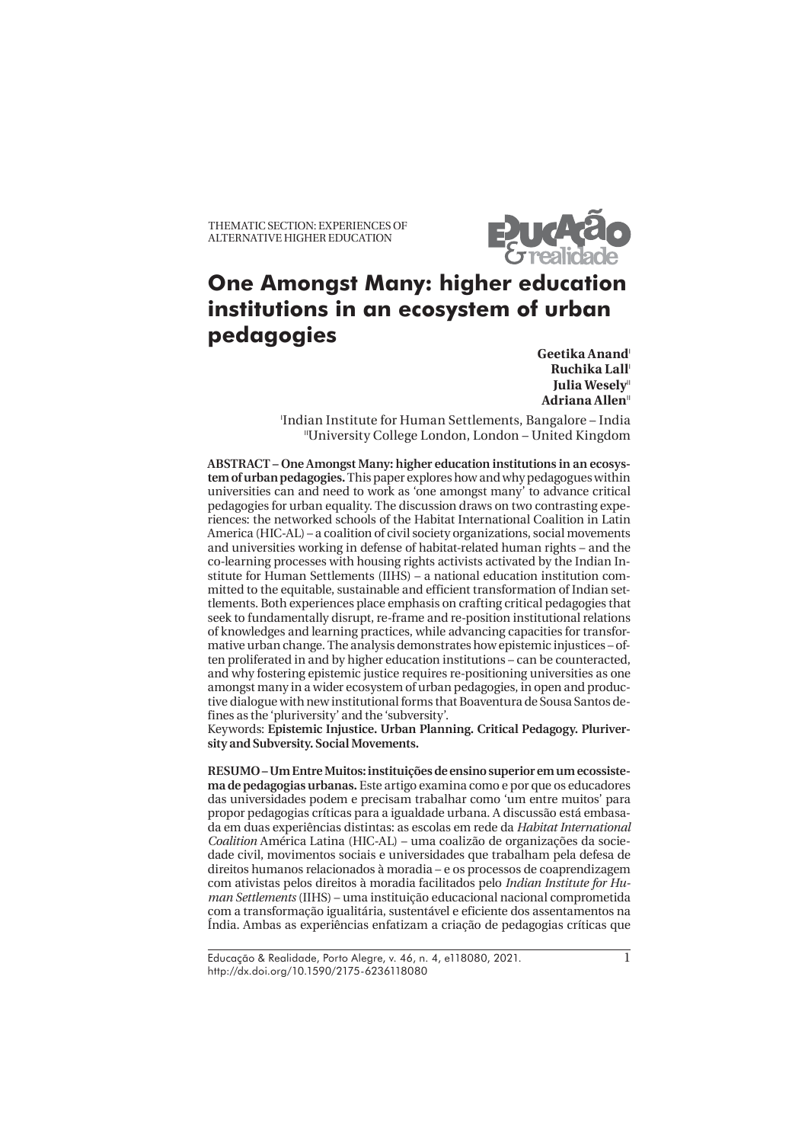THEMATIC SECTION: EXPERIENCES OF ALTERNATIVE HIGHER EDUCATION



# **One Amongst Many: higher education institutions in an ecosystem of urban pedagogies**

Geetika Anand<sup>1</sup> **Ruchika Lall**<sup>1</sup> **Julia Wesely**<sup>11</sup> Adriana Allen<sup>"</sup>

I Indian Institute for Human Settlements, Bangalore – India IIUniversity College London, London – United Kingdom

**ABSTRACT – One Amongst Many: higher education institutions in an ecosystem of urban pedagogies.** This paper explores how and why pedagogues within universities can and need to work as 'one amongst many' to advance critical pedagogies for urban equality. The discussion draws on two contrasting experiences: the networked schools of the Habitat International Coalition in Latin America (HIC-AL) – a coalition of civil society organizations, social movements and universities working in defense of habitat-related human rights – and the co-learning processes with housing rights activists activated by the Indian Institute for Human Settlements (IIHS) – a national education institution committed to the equitable, sustainable and efficient transformation of Indian settlements. Both experiences place emphasis on crafting critical pedagogies that seek to fundamentally disrupt, re-frame and re-position institutional relations of knowledges and learning practices, while advancing capacities for transformative urban change. The analysis demonstrates how epistemic injustices – often proliferated in and by higher education institutions – can be counteracted, and why fostering epistemic justice requires re-positioning universities as one amongst many in a wider ecosystem of urban pedagogies, in open and productive dialogue with new institutional forms that Boaventura de Sousa Santos defines as the 'pluriversity' and the 'subversity'.

Keywords: **Epistemic Injustice. Urban Planning. Critical Pedagogy. Pluriversity and Subversity. Social Movements.**

**RESUMO – Um Entre Muitos: instituições de ensino superior em um ecossistema de pedagogias urbanas.** Este artigo examina como e por que os educadores das universidades podem e precisam trabalhar como 'um entre muitos' para propor pedagogias críticas para a igualdade urbana. A discussão está embasada em duas experiências distintas: as escolas em rede da *Habitat International Coalition* América Latina (HIC-AL) – uma coalizão de organizações da sociedade civil, movimentos sociais e universidades que trabalham pela defesa de direitos humanos relacionados à moradia – e os processos de coaprendizagem com ativistas pelos direitos à moradia facilitados pelo *Indian Institute for Human Settlements* (IIHS) – uma instituição educacional nacional comprometida com a transformação igualitária, sustentável e eficiente dos assentamentos na Índia. Ambas as experiências enfatizam a criação de pedagogias críticas que

Educação & Realidade, Porto Alegre, v. 46, n. 4, e118080, 2021. http://dx.doi.org/10.1590/2175-6236118080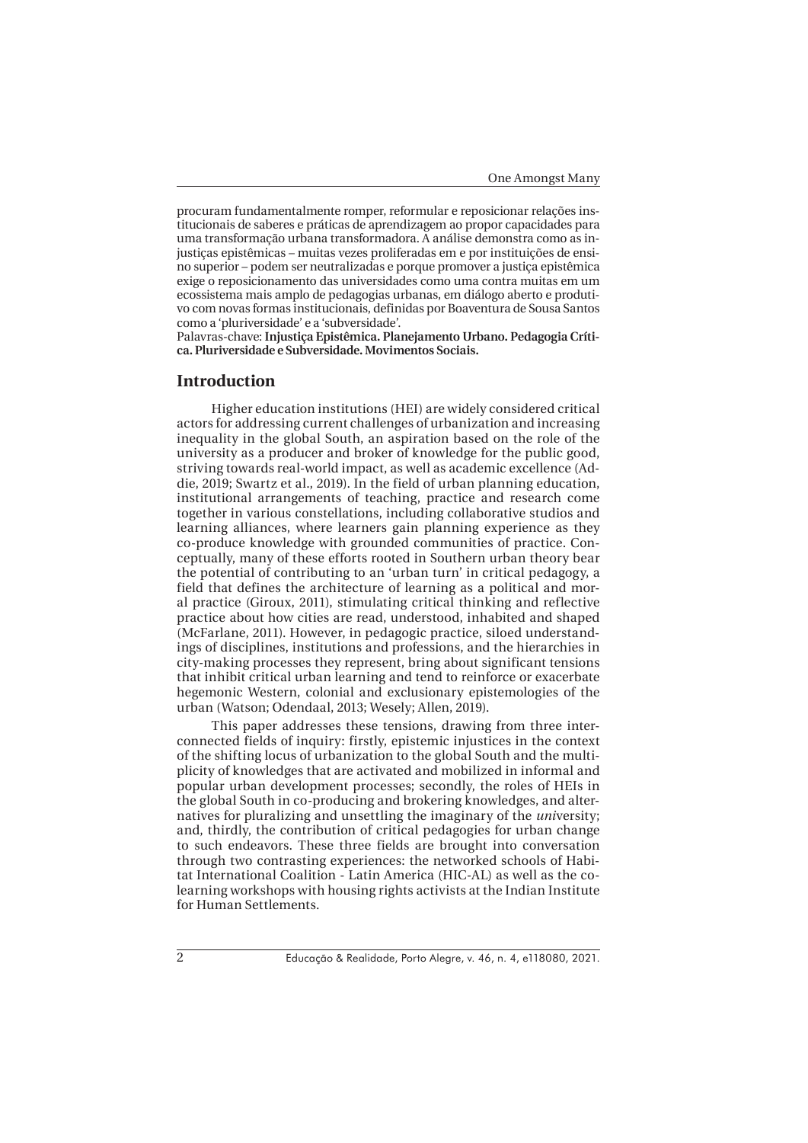procuram fundamentalmente romper, reformular e reposicionar relações institucionais de saberes e práticas de aprendizagem ao propor capacidades para uma transformação urbana transformadora. A análise demonstra como as injustiças epistêmicas – muitas vezes proliferadas em e por instituições de ensino superior – podem ser neutralizadas e porque promover a justiça epistêmica exige o reposicionamento das universidades como uma contra muitas em um ecossistema mais amplo de pedagogias urbanas, em diálogo aberto e produtivo com novas formas institucionais, definidas por Boaventura de Sousa Santos como a 'pluriversidade' e a 'subversidade'.

Palavras-chave: **Injustiça Epistêmica. Planejamento Urbano. Pedagogia Crítica. Pluriversidade e Subversidade. Movimentos Sociais.**

#### **Introduction**

Higher education institutions (HEI) are widely considered critical actors for addressing current challenges of urbanization and increasing inequality in the global South, an aspiration based on the role of the university as a producer and broker of knowledge for the public good, striving towards real-world impact, as well as academic excellence (Addie, 2019; Swartz et al., 2019). In the field of urban planning education, institutional arrangements of teaching, practice and research come together in various constellations, including collaborative studios and learning alliances, where learners gain planning experience as they co-produce knowledge with grounded communities of practice. Conceptually, many of these efforts rooted in Southern urban theory bear the potential of contributing to an 'urban turn' in critical pedagogy, a field that defines the architecture of learning as a political and moral practice (Giroux, 2011), stimulating critical thinking and reflective practice about how cities are read, understood, inhabited and shaped (McFarlane, 2011). However, in pedagogic practice, siloed understandings of disciplines, institutions and professions, and the hierarchies in city-making processes they represent, bring about significant tensions that inhibit critical urban learning and tend to reinforce or exacerbate hegemonic Western, colonial and exclusionary epistemologies of the urban (Watson; Odendaal, 2013; Wesely; Allen, 2019).

This paper addresses these tensions, drawing from three interconnected fields of inquiry: firstly, epistemic injustices in the context of the shifting locus of urbanization to the global South and the multiplicity of knowledges that are activated and mobilized in informal and popular urban development processes; secondly, the roles of HEIs in the global South in co-producing and brokering knowledges, and alternatives for pluralizing and unsettling the imaginary of the *uni*versity; and, thirdly, the contribution of critical pedagogies for urban change to such endeavors. These three fields are brought into conversation through two contrasting experiences: the networked schools of Habitat International Coalition - Latin America (HIC-AL) as well as the colearning workshops with housing rights activists at the Indian Institute for Human Settlements.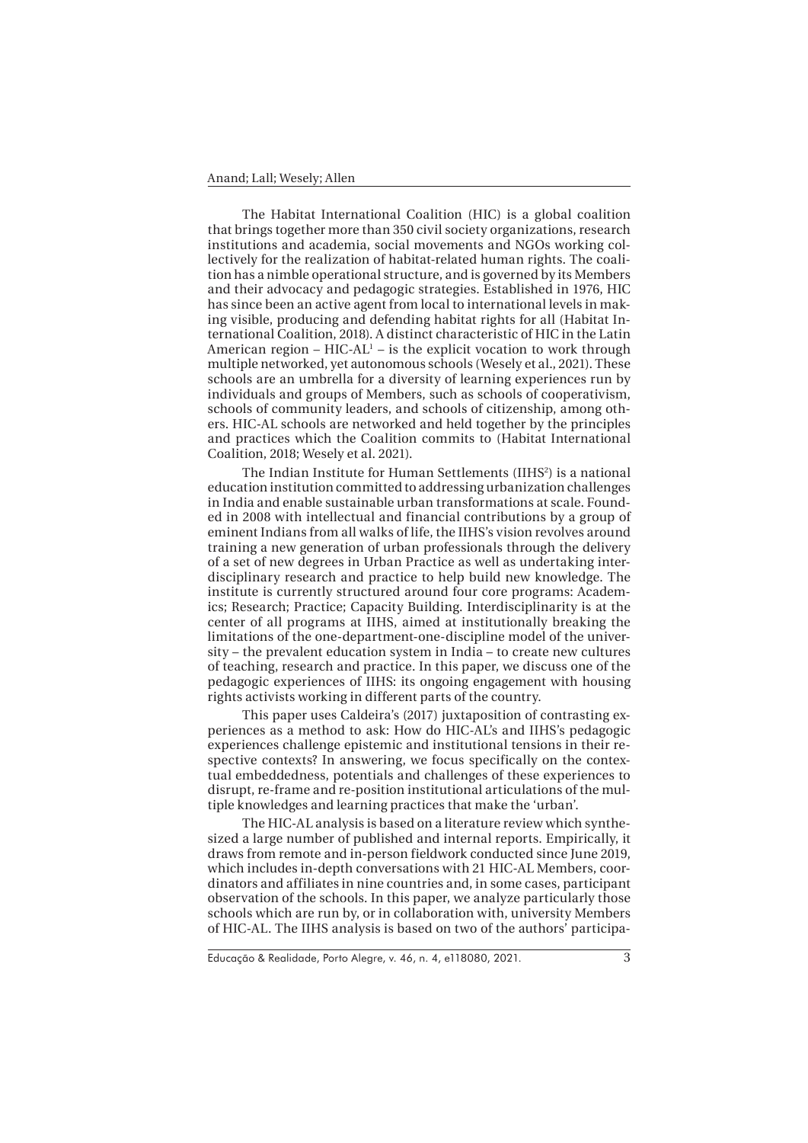The Habitat International Coalition (HIC) is a global coalition that brings together more than 350 civil society organizations, research institutions and academia, social movements and NGOs working collectively for the realization of habitat-related human rights. The coalition has a nimble operational structure, and is governed by its Members and their advocacy and pedagogic strategies. Established in 1976, HIC has since been an active agent from local to international levels in making visible, producing and defending habitat rights for all (Habitat International Coalition, 2018). A distinct characteristic of HIC in the Latin American region –  $HIC-AL<sup>1</sup>$  – is the explicit vocation to work through multiple networked, yet autonomous schools (Wesely et al., 2021). These schools are an umbrella for a diversity of learning experiences run by individuals and groups of Members, such as schools of cooperativism, schools of community leaders, and schools of citizenship, among others. HIC-AL schools are networked and held together by the principles and practices which the Coalition commits to (Habitat International Coalition, 2018; Wesely et al. 2021).

The Indian Institute for Human Settlements (IIHS<sup>2</sup>) is a national education institution committed to addressing urbanization challenges in India and enable sustainable urban transformations at scale. Founded in 2008 with intellectual and financial contributions by a group of eminent Indians from all walks of life, the IIHS's vision revolves around training a new generation of urban professionals through the delivery of a set of new degrees in Urban Practice as well as undertaking interdisciplinary research and practice to help build new knowledge. The institute is currently structured around four core programs: Academics; Research; Practice; Capacity Building. Interdisciplinarity is at the center of all programs at IIHS, aimed at institutionally breaking the limitations of the one-department-one-discipline model of the university – the prevalent education system in India – to create new cultures of teaching, research and practice. In this paper, we discuss one of the pedagogic experiences of IIHS: its ongoing engagement with housing rights activists working in different parts of the country.

This paper uses Caldeira's (2017) juxtaposition of contrasting experiences as a method to ask: How do HIC-AL's and IIHS's pedagogic experiences challenge epistemic and institutional tensions in their respective contexts? In answering, we focus specifically on the contextual embeddedness, potentials and challenges of these experiences to disrupt, re-frame and re-position institutional articulations of the multiple knowledges and learning practices that make the 'urban'.

The HIC-AL analysis is based on a literature review which synthesized a large number of published and internal reports. Empirically, it draws from remote and in-person fieldwork conducted since June 2019, which includes in-depth conversations with 21 HIC-AL Members, coordinators and affiliates in nine countries and, in some cases, participant observation of the schools. In this paper, we analyze particularly those schools which are run by, or in collaboration with, university Members of HIC-AL. The IIHS analysis is based on two of the authors' participa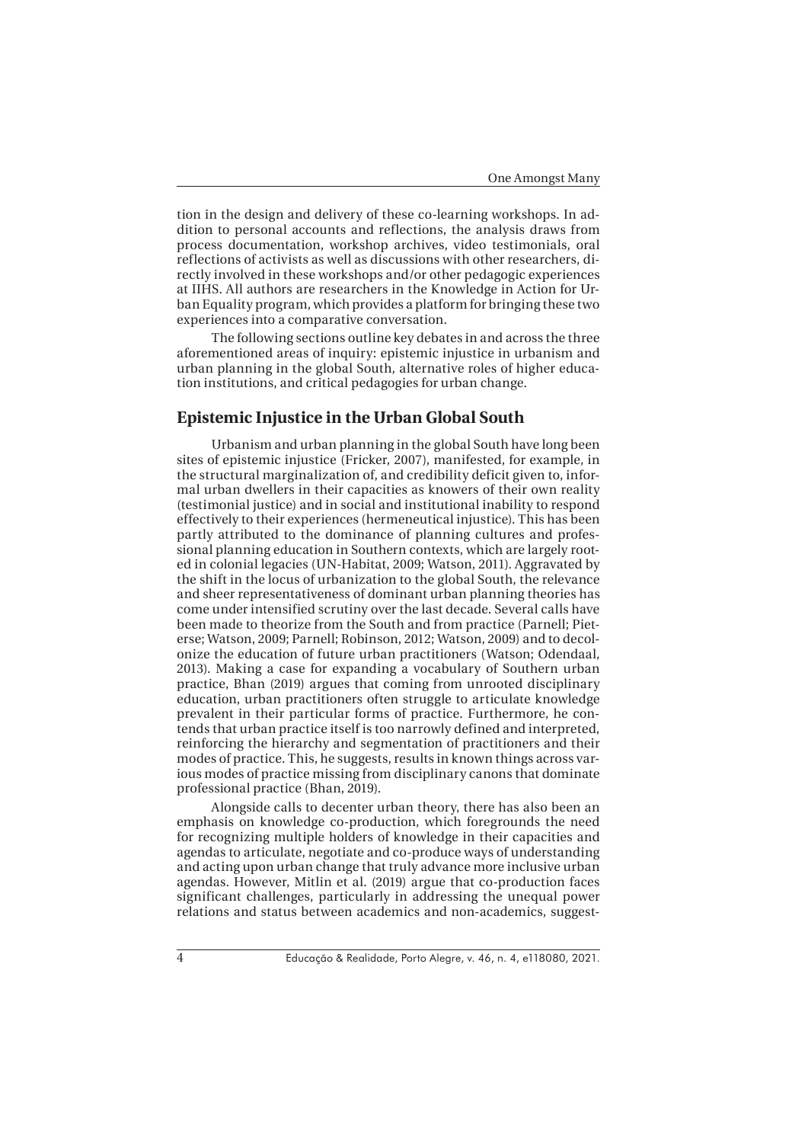tion in the design and delivery of these co-learning workshops. In addition to personal accounts and reflections, the analysis draws from process documentation, workshop archives, video testimonials, oral reflections of activists as well as discussions with other researchers, directly involved in these workshops and/or other pedagogic experiences at IIHS. All authors are researchers in the Knowledge in Action for Urban Equality program, which provides a platform for bringing these two experiences into a comparative conversation.

The following sections outline key debates in and across the three aforementioned areas of inquiry: epistemic injustice in urbanism and urban planning in the global South, alternative roles of higher education institutions, and critical pedagogies for urban change.

# **Epistemic Injustice in the Urban Global South**

Urbanism and urban planning in the global South have long been sites of epistemic injustice (Fricker, 2007), manifested, for example, in the structural marginalization of, and credibility deficit given to, informal urban dwellers in their capacities as knowers of their own reality (testimonial justice) and in social and institutional inability to respond effectively to their experiences (hermeneutical injustice). This has been partly attributed to the dominance of planning cultures and professional planning education in Southern contexts, which are largely rooted in colonial legacies (UN-Habitat, 2009; Watson, 2011). Aggravated by the shift in the locus of urbanization to the global South, the relevance and sheer representativeness of dominant urban planning theories has come under intensified scrutiny over the last decade. Several calls have been made to theorize from the South and from practice (Parnell; Pieterse; Watson, 2009; Parnell; Robinson, 2012; Watson, 2009) and to decolonize the education of future urban practitioners (Watson; Odendaal, 2013). Making a case for expanding a vocabulary of Southern urban practice, Bhan (2019) argues that coming from unrooted disciplinary education, urban practitioners often struggle to articulate knowledge prevalent in their particular forms of practice. Furthermore, he contends that urban practice itself is too narrowly defined and interpreted, reinforcing the hierarchy and segmentation of practitioners and their modes of practice. This, he suggests, results in known things across various modes of practice missing from disciplinary canons that dominate professional practice (Bhan, 2019).

Alongside calls to decenter urban theory, there has also been an emphasis on knowledge co-production, which foregrounds the need for recognizing multiple holders of knowledge in their capacities and agendas to articulate, negotiate and co-produce ways of understanding and acting upon urban change that truly advance more inclusive urban agendas. However, Mitlin et al. (2019) argue that co-production faces significant challenges, particularly in addressing the unequal power relations and status between academics and non-academics, suggest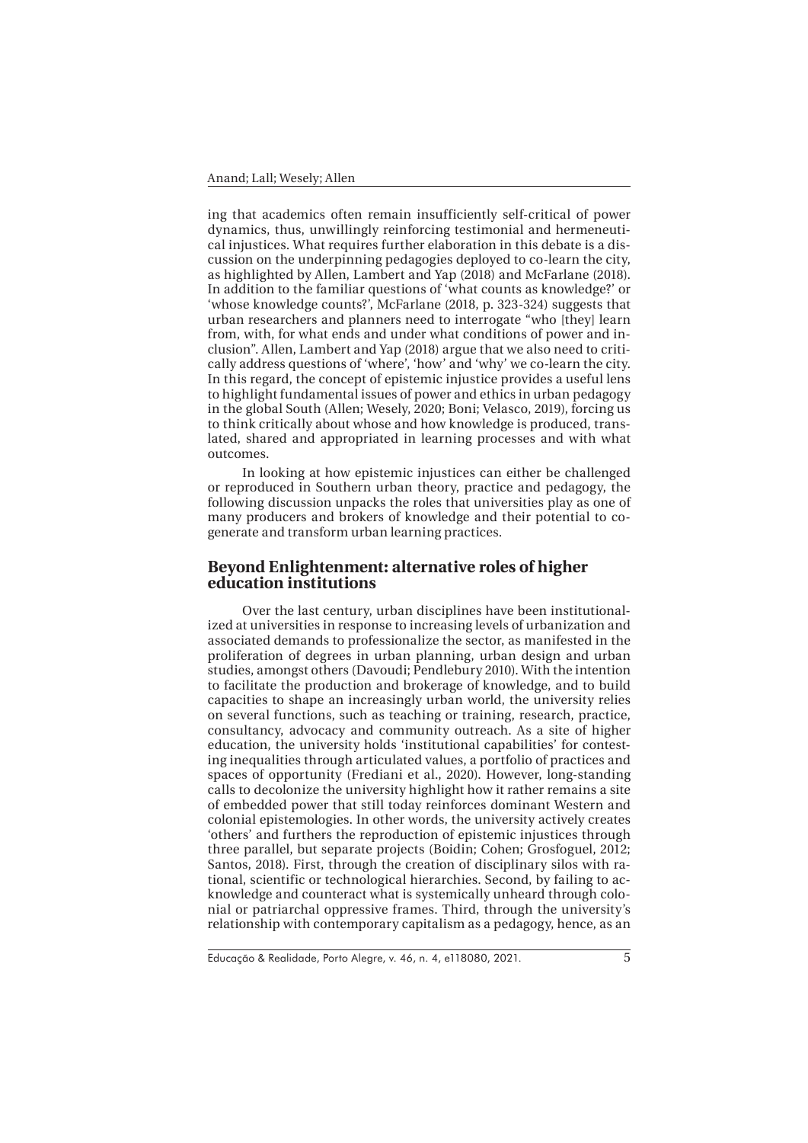ing that academics often remain insufficiently self-critical of power dynamics, thus, unwillingly reinforcing testimonial and hermeneutical injustices. What requires further elaboration in this debate is a discussion on the underpinning pedagogies deployed to co-learn the city, as highlighted by Allen, Lambert and Yap (2018) and McFarlane (2018). In addition to the familiar questions of 'what counts as knowledge?' or 'whose knowledge counts?', McFarlane (2018, p. 323-324) suggests that urban researchers and planners need to interrogate "who [they] learn from, with, for what ends and under what conditions of power and inclusion". Allen, Lambert and Yap (2018) argue that we also need to critically address questions of 'where', 'how' and 'why' we co-learn the city. In this regard, the concept of epistemic injustice provides a useful lens to highlight fundamental issues of power and ethics in urban pedagogy in the global South (Allen; Wesely, 2020; Boni; Velasco, 2019), forcing us to think critically about whose and how knowledge is produced, translated, shared and appropriated in learning processes and with what outcomes.

In looking at how epistemic injustices can either be challenged or reproduced in Southern urban theory, practice and pedagogy, the following discussion unpacks the roles that universities play as one of many producers and brokers of knowledge and their potential to cogenerate and transform urban learning practices.

# **Beyond Enlightenment: alternative roles of higher education institutions**

Over the last century, urban disciplines have been institutionalized at universities in response to increasing levels of urbanization and associated demands to professionalize the sector, as manifested in the proliferation of degrees in urban planning, urban design and urban studies, amongst others (Davoudi; Pendlebury 2010). With the intention to facilitate the production and brokerage of knowledge, and to build capacities to shape an increasingly urban world, the university relies on several functions, such as teaching or training, research, practice, consultancy, advocacy and community outreach. As a site of higher education, the university holds 'institutional capabilities' for contesting inequalities through articulated values, a portfolio of practices and spaces of opportunity (Frediani et al., 2020). However, long-standing calls to decolonize the university highlight how it rather remains a site of embedded power that still today reinforces dominant Western and colonial epistemologies. In other words, the university actively creates 'others' and furthers the reproduction of epistemic injustices through three parallel, but separate projects (Boidin; Cohen; Grosfoguel, 2012; Santos, 2018). First, through the creation of disciplinary silos with rational, scientific or technological hierarchies. Second, by failing to acknowledge and counteract what is systemically unheard through colonial or patriarchal oppressive frames. Third, through the university's relationship with contemporary capitalism as a pedagogy, hence, as an

Educação & Realidade, Porto Alegre, v. 46, n. 4, e118080, 2021.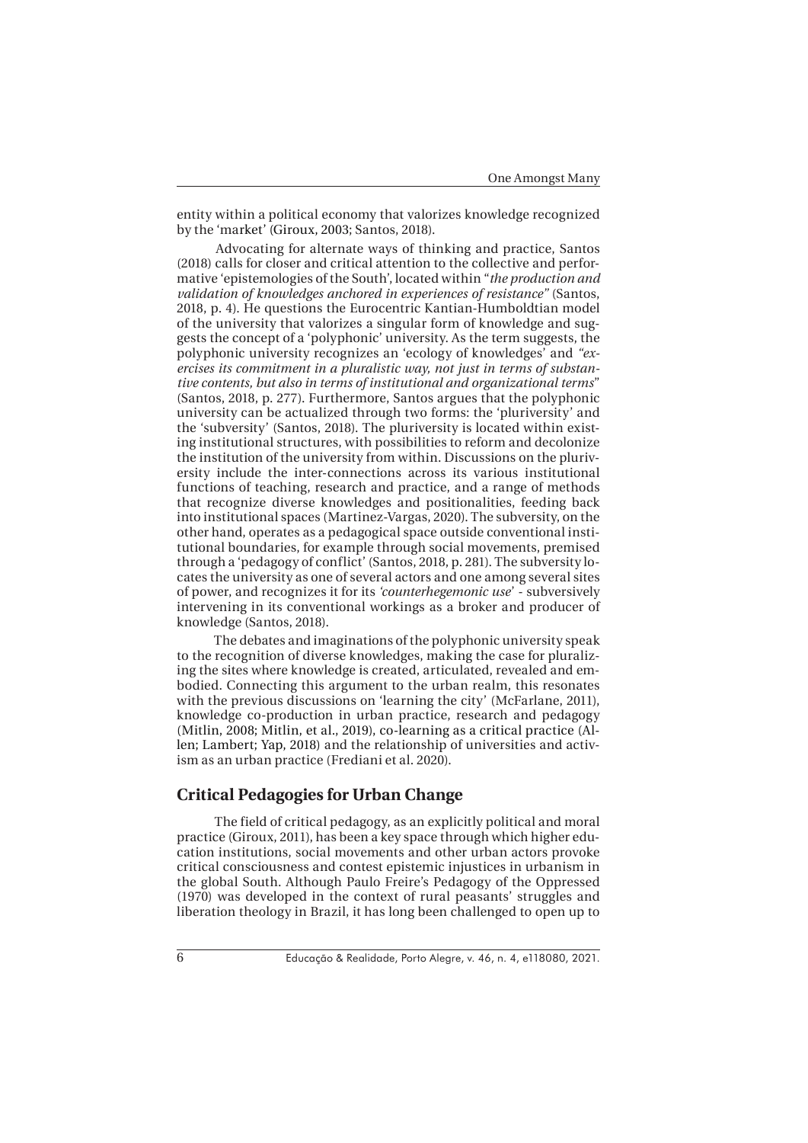entity within a political economy that valorizes knowledge recognized by the 'market' (Giroux, 2003; Santos, 2018).

A dvocating for alternate ways of thinking and practice, Santos (2018) calls for closer and critical attention to the collective and performative 'epistemologies of the South', located within "*the production and validation of knowledges anchored in experiences of resistance"* (Santos, 2018, p. 4). He questions the Eurocentric Kantian-Humboldtian model of the university that valorizes a singular form of knowledge and suggests the concept of a 'polyphonic' university. As the term suggests, the polyphonic university recognizes an 'ecology of knowledges' and *"exercises its commitment in a pluralistic way, not just in terms of substantive contents, but also in terms of institutional and organizational terms*" (Santos, 2018, p. 277). Furthermore, Santos argues that the polyphonic university can be actualized through two forms: the 'pluriversity' and the 'subversity' (Santos, 2018). The pluriversity is located within existing institutional structures, with possibilities to reform and decolonize the institution of the university from within. Discussions on the pluriversity include the inter-connections across its various institutional functions of teaching, research and practice, and a range of methods that recognize diverse knowledges and positionalities, feeding back into institutional spaces (Martinez-Vargas, 2020). The subversity, on the other hand, operates as a pedagogical space outside conventional institutional boundaries, for example through social movements, premised through a 'pedagogy of conflict' (Santos, 2018, p. 281). The subversity locates the university as one of several actors and one among several sites of power, and recognizes it for its *'counterhegemonic use*' - subversively intervening in its conventional workings as a broker and producer of knowledge (Santos, 2018).

 The debates and imaginations of the polyphonic university speak to the recognition of diverse knowledges, making the case for pluralizing the sites where knowledge is created, articulated, revealed and embodied. Connecting this argument to the urban realm, this resonates with the previous discussions on 'learning the city' (McFarlane, 2011), knowledge co-production in urban practice, research and pedagogy (Mitlin, 2008; Mitlin, et al., 2019), co-learning as a critical practice (Allen; Lambert; Yap, 2018) and the relationship of universities and activism as an urban practice (Frediani et al. 2020).

# **Critical Pedagogies for Urban Change**

 The field of critical pedagogy, as an explicitly political and moral practice (Giroux, 2011), has been a key space through which higher education institutions, social movements and other urban actors provoke critical consciousness and contest epistemic injustices in urbanism in the global South. Although Paulo Freire's Pedagogy of the Oppressed (1970) was developed in the context of rural peasants' struggles and liberation theology in Brazil, it has long been challenged to open up to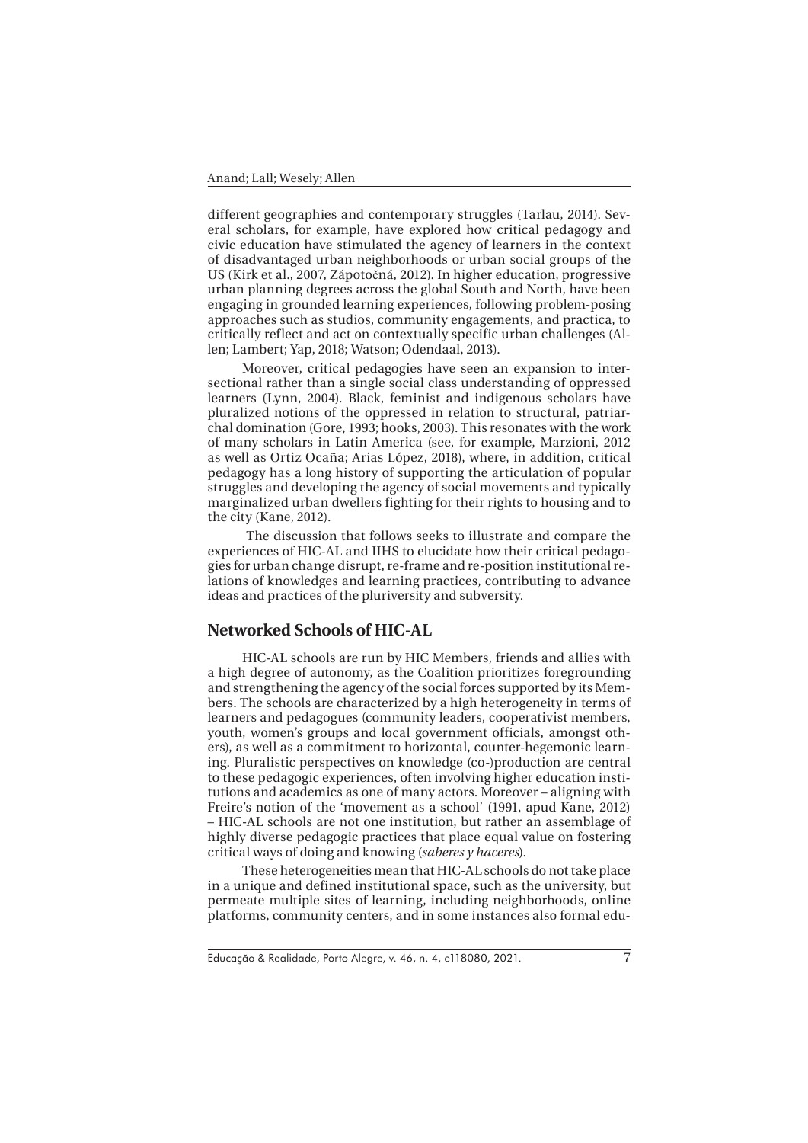different geographies and contemporary struggles (Tarlau, 2014). Several scholars, for example, have explored how critical pedagogy and civic education have stimulated the agency of learners in the context of disadvantaged urban neighborhoods or urban social groups of the US (Kirk et al., 2007, Zápotočná, 2012). In higher education, progressive urban planning degrees across the global South and North, have been engaging in grounded learning experiences, following problem-posing approaches such as studios, community engagements, and practica, to critically reflect and act on contextually specific urban challenges (Allen; Lambert; Yap, 2018; Watson; Odendaal, 2013).

Moreover, critical pedagogies have seen an expansion to intersectional rather than a single social class understanding of oppressed learners (Lynn, 2004). Black, feminist and indigenous scholars have pluralized notions of the oppressed in relation to structural, patriarchal domination (Gore, 1993; hooks, 2003). This resonates with the work of many scholars in Latin America (see, for example, Marzioni, 2012 as well as Ortiz Ocaña; Arias López, 2018), where, in addition, critical pedagogy has a long history of supporting the articulation of popular struggles and developing the agency of social movements and typically marginalized urban dwellers fighting for their rights to housing and to the city (Kane, 2012).

 The discussion that follows seeks to illustrate and compare the experiences of HIC-AL and IIHS to elucidate how their critical pedagogies for urban change disrupt, re-frame and re-position institutional relations of knowledges and learning practices, contributing to advance ideas and practices of the pluriversity and subversity.

#### **Networked Schools of HIC-AL**

HIC-AL schools are run by HIC Members, friends and allies with a high degree of autonomy, as the Coalition prioritizes foregrounding and strengthening the agency of the social forces supported by its Members. The schools are characterized by a high heterogeneity in terms of learners and pedagogues (community leaders, cooperativist members, youth, women's groups and local government officials, amongst others), as well as a commitment to horizontal, counter-hegemonic learning. Pluralistic perspectives on knowledge (co-)production are central to these pedagogic experiences, often involving higher education institutions and academics as one of many actors. Moreover – aligning with Freire's notion of the 'movement as a school' (1991, apud Kane, 2012) – HIC-AL schools are not one institution, but rather an assemblage of highly diverse pedagogic practices that place equal value on fostering critical ways of doing and knowing (*saberes y haceres*).

These heterogeneities mean that HIC-AL schools do not take place in a unique and defined institutional space, such as the university, but permeate multiple sites of learning, including neighborhoods, online platforms, community centers, and in some instances also formal edu-

Educação & Realidade, Porto Alegre, v. 46, n. 4, e118080, 2021.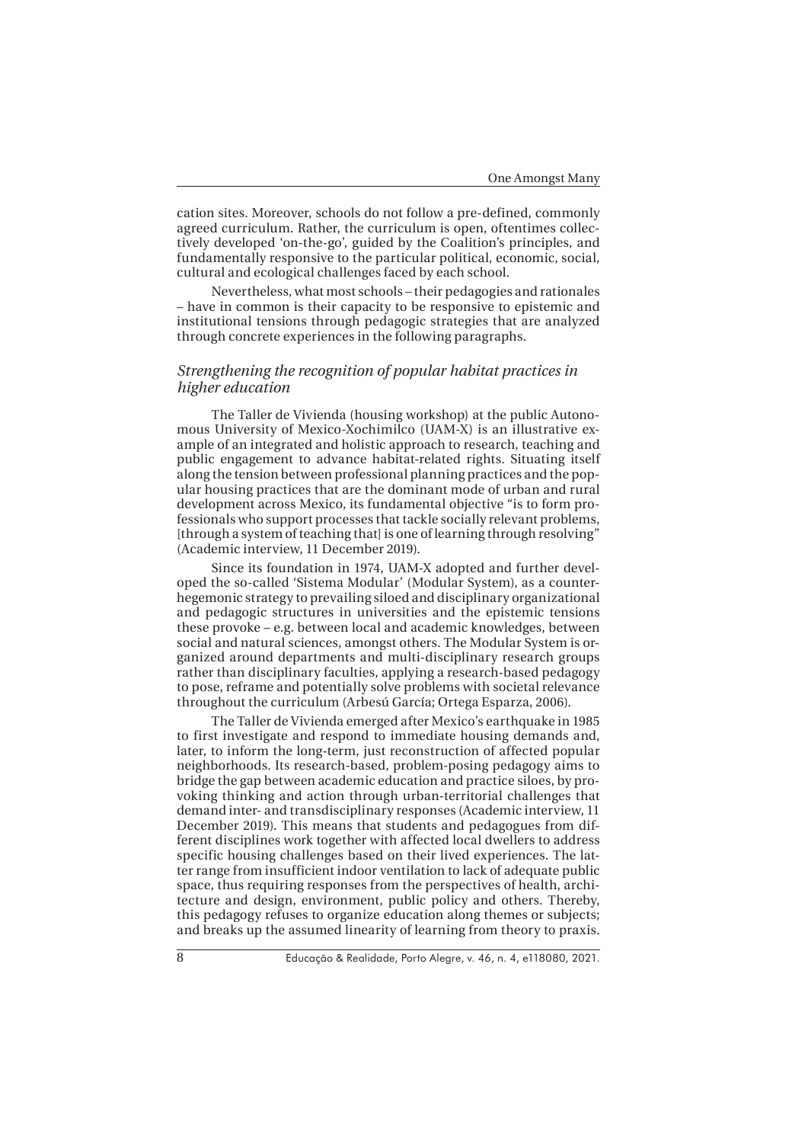cation sites. Moreover, schools do not follow a pre-defined, commonly agreed curriculum. Rather, the curriculum is open, oftentimes collectively developed 'on-the-go', guided by the Coalition's principles, and fundamentally responsive to the particular political, economic, social, cultural and ecological challenges faced by each school.

Nevertheless, what most schools – their pedagogies and rationales – have in common is their capacity to be responsive to epistemic and institutional tensions through pedagogic strategies that are analyzed through concrete experiences in the following paragraphs.

#### *Strengthening the recognition of popular habitat practices in higher education*

The Taller de Vivienda (housing workshop) at the public Autonomous University of Mexico-Xochimilco (UAM-X) is an illustrative example of an integrated and holistic approach to research, teaching and public engagement to advance habitat-related rights. Situating itself along the tension between professional planning practices and the popular housing practices that are the dominant mode of urban and rural development across Mexico, its fundamental objective "is to form professionals who support processes that tackle socially relevant problems, [through a system of teaching that] is one of learning through resolving" (Academic interview, 11 December 2019).

Since its foundation in 1974, UAM-X adopted and further developed the so-called 'Sistema Modular' (Modular System), as a counterhegemonic strategy to prevailing siloed and disciplinary organizational and pedagogic structures in universities and the epistemic tensions these provoke – e.g. between local and academic knowledges, between social and natural sciences, amongst others. The Modular System is organized around departments and multi-disciplinary research groups rather than disciplinary faculties, applying a research-based pedagogy to pose, reframe and potentially solve problems with societal relevance throughout the curriculum (Arbesú García; Ortega Esparza, 2006).

The Taller de Vivienda emerged after Mexico's earthquake in 1985 to first investigate and respond to immediate housing demands and, later, to inform the long-term, just reconstruction of affected popular neighborhoods. Its research-based, problem-posing pedagogy aims to bridge the gap between academic education and practice siloes, by provoking thinking and action through urban-territorial challenges that demand inter- and transdisciplinary responses (Academic interview, 11 December 2019). This means that students and pedagogues from different disciplines work together with affected local dwellers to address specific housing challenges based on their lived experiences. The latter range from insufficient indoor ventilation to lack of adequate public space, thus requiring responses from the perspectives of health, architecture and design, environment, public policy and others. Thereby, this pedagogy refuses to organize education along themes or subjects; and breaks up the assumed linearity of learning from theory to praxis.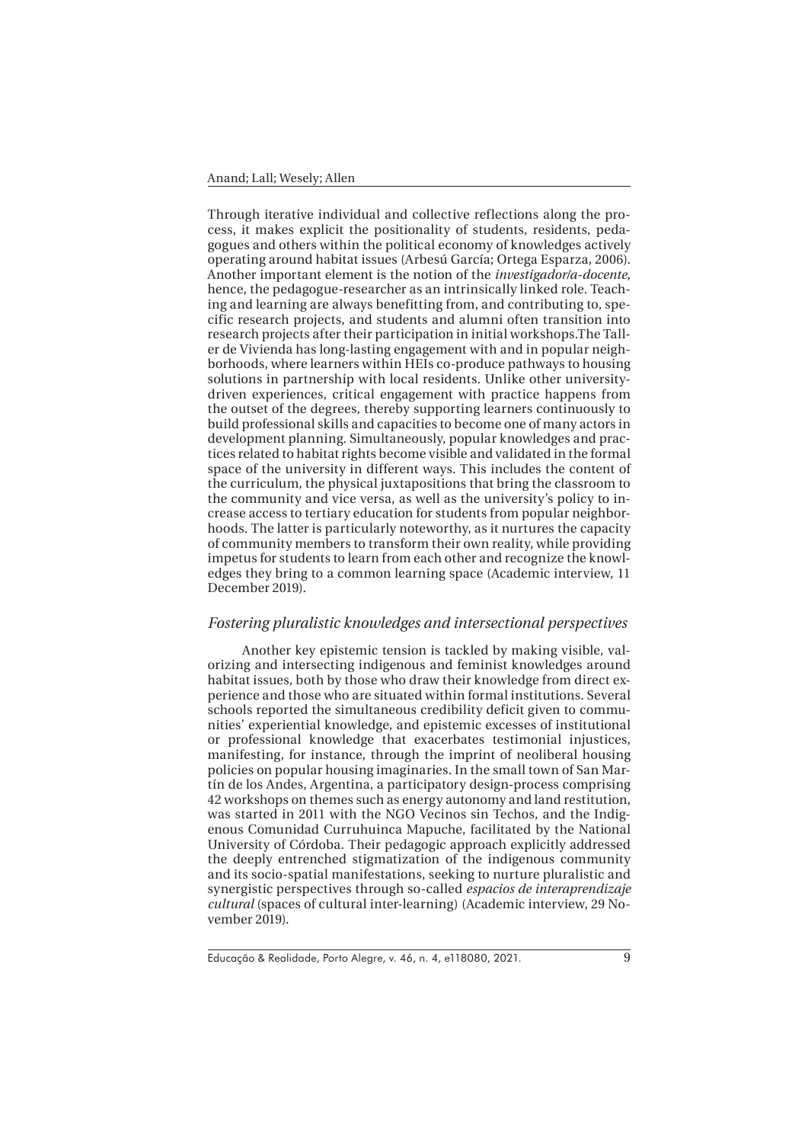Through iterative individual and collective reflections along the process, it makes explicit the positionality of students, residents, pedagogues and others within the political economy of knowledges actively operating around habitat issues (Arbesú García; Ortega Esparza, 2006). Another important element is the notion of the *investigador/a-docente*, hence, the pedagogue-researcher as an intrinsically linked role. Teaching and learning are always benefitting from, and contributing to, specific research projects, and students and alumni often transition into research projects after their participation in initial workshops.The Taller de Vivienda has long-lasting engagement with and in popular neighborhoods, where learners within HEIs co-produce pathways to housing solutions in partnership with local residents. Unlike other universitydriven experiences, critical engagement with practice happens from the outset of the degrees, thereby supporting learners continuously to build professional skills and capacities to become one of many actors in development planning. Simultaneously, popular knowledges and practices related to habitat rights become visible and validated in the formal space of the university in different ways. This includes the content of the curriculum, the physical juxtapositions that bring the classroom to the community and vice versa, as well as the university's policy to increase access to tertiary education for students from popular neighborhoods. The latter is particularly noteworthy, as it nurtures the capacity of community members to transform their own reality, while providing impetus for students to learn from each other and recognize the knowledges they bring to a common learning space (Academic interview, 11 December 2019).

## *Fostering pluralistic knowledges and intersectional perspectives*

Another key epistemic tension is tackled by making visible, valorizing and intersecting indigenous and feminist knowledges around habitat issues, both by those who draw their knowledge from direct experience and those who are situated within formal institutions. Several schools reported the simultaneous credibility deficit given to communities' experiential knowledge, and epistemic excesses of institutional or professional knowledge that exacerbates testimonial injustices, manifesting, for instance, through the imprint of neoliberal housing policies on popular housing imaginaries. In the small town of San Martín de los Andes, Argentina, a participatory design-process comprising 42 workshops on themes such as energy autonomy and land restitution, was started in 2011 with the NGO Vecinos sin Techos, and the Indigenous Comunidad Curruhuinca Mapuche, facilitated by the National University of Córdoba. Their pedagogic approach explicitly addressed the deeply entrenched stigmatization of the indigenous community and its socio-spatial manifestations, seeking to nurture pluralistic and synergistic perspectives through so-called *espacios de interaprendizaje cultural* (spaces of cultural inter-learning) (Academic interview, 29 November 2019).

Educação & Realidade, Porto Alegre, v. 46, n. 4, e118080, 2021.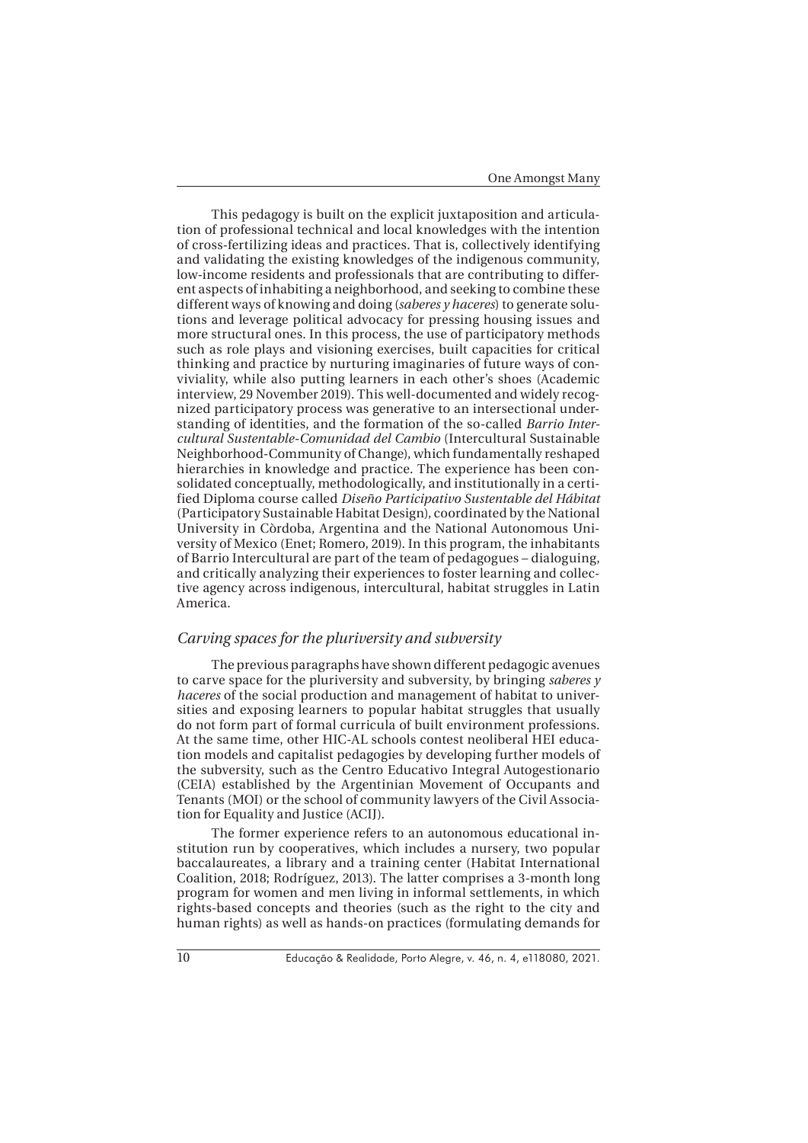This pedagogy is built on the explicit juxtaposition and articulation of professional technical and local knowledges with the intention of cross-fertilizing ideas and practices. That is, collectively identifying and validating the existing knowledges of the indigenous community, low-income residents and professionals that are contributing to different aspects of inhabiting a neighborhood, and seeking to combine these different ways of knowing and doing (*saberes y haceres*) to generate solutions and leverage political advocacy for pressing housing issues and more structural ones. In this process, the use of participatory methods such as role plays and visioning exercises, built capacities for critical thinking and practice by nurturing imaginaries of future ways of conviviality, while also putting learners in each other's shoes (Academic interview, 29 November 2019). This well-documented and widely recognized participatory process was generative to an intersectional understanding of identities, and the formation of the so-called *Barrio Intercultural Sustentable-Comunidad del Cambio* (Intercultural Sustainable Neighborhood-Community of Change), which fundamentally reshaped hierarchies in knowledge and practice. The experience has been consolidated conceptually, methodologically, and institutionally in a certified Diploma course called *Diseño Participativo Sustentable del Hábitat*  (Participatory Sustainable Habitat Design), coordinated by the National University in Còrdoba, Argentina and the National Autonomous University of Mexico (Enet; Romero, 2019). In this program, the inhabitants of Barrio Intercultural are part of the team of pedagogues – dialoguing, and critically analyzing their experiences to foster learning and collective agency across indigenous, intercultural, habitat struggles in Latin America.

#### *Carving spaces for the pluriversity and subversity*

The previous paragraphs have shown different pedagogic avenues to carve space for the pluriversity and subversity, by bringing *saberes y haceres* of the social production and management of habitat to universities and exposing learners to popular habitat struggles that usually do not form part of formal curricula of built environment professions. At the same time, other HIC-AL schools contest neoliberal HEI education models and capitalist pedagogies by developing further models of the subversity, such as the Centro Educativo Integral Autogestionario (CEIA) established by the Argentinian Movement of Occupants and Tenants (MOI) or the school of community lawyers of the Civil Association for Equality and Justice (ACIJ).

The former experience refers to an autonomous educational institution run by cooperatives, which includes a nursery, two popular baccalaureates, a library and a training center (Habitat International Coalition, 2018; Rodríguez, 2013). The latter comprises a 3-month long program for women and men living in informal settlements, in which rights-based concepts and theories (such as the right to the city and human rights) as well as hands-on practices (formulating demands for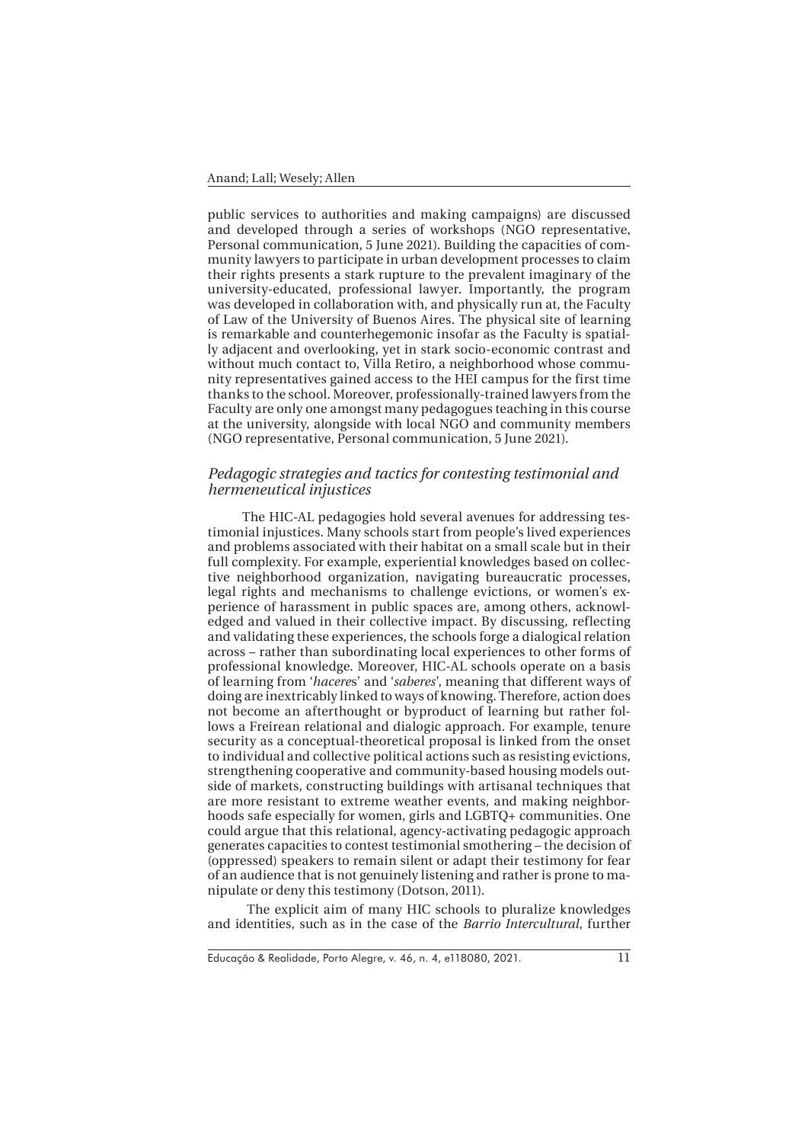public services to authorities and making campaigns) are discussed and developed through a series of workshops (NGO representative, Personal communication, 5 June 2021). Building the capacities of community lawyers to participate in urban development processes to claim their rights presents a stark rupture to the prevalent imaginary of the university-educated, professional lawyer. Importantly, the program was developed in collaboration with, and physically run at, the Faculty of Law of the University of Buenos Aires. The physical site of learning is remarkable and counterhegemonic insofar as the Faculty is spatially adjacent and overlooking, yet in stark socio-economic contrast and without much contact to, Villa Retiro, a neighborhood whose community representatives gained access to the HEI campus for the first time thanks to the school. Moreover, professionally-trained lawyers from the Faculty are only one amongst many pedagogues teaching in this course at the university, alongside with local NGO and community members (NGO representative, Personal communication, 5 June 2021).

## *Pedagogic strategies and tactics for contesting testimonial and hermeneutical injustices*

The HIC-AL pedagogies hold several avenues for addressing testimonial injustices. Many schools start from people's lived experiences and problems associated with their habitat on a small scale but in their full complexity. For example, experiential knowledges based on collective neighborhood organization, navigating bureaucratic processes, legal rights and mechanisms to challenge evictions, or women's experience of harassment in public spaces are, among others, acknowledged and valued in their collective impact. By discussing, reflecting and validating these experiences, the schools forge a dialogical relation across – rather than subordinating local experiences to other forms of professional knowledge. Moreover, HIC-AL schools operate on a basis of learning from '*hacere*s' and '*saberes*', meaning that different ways of doing are inextricably linked to ways of knowing. Therefore, action does not become an afterthought or byproduct of learning but rather follows a Freirean relational and dialogic approach. For example, tenure security as a conceptual-theoretical proposal is linked from the onset to individual and collective political actions such as resisting evictions, strengthening cooperative and community-based housing models outside of markets, constructing buildings with artisanal techniques that are more resistant to extreme weather events, and making neighborhoods safe especially for women, girls and LGBTQ+ communities. One could argue that this relational, agency-activating pedagogic approach generates capacities to contest testimonial smothering – the decision of (oppressed) speakers to remain silent or adapt their testimony for fear of an audience that is not genuinely listening and rather is prone to manipulate or deny this testimony (Dotson, 2011).

 The explicit aim of many HIC schools to pluralize knowledges and identities, such as in the case of the *Barrio Intercultural*, further

Educação & Realidade, Porto Alegre, v. 46, n. 4, e118080, 2021.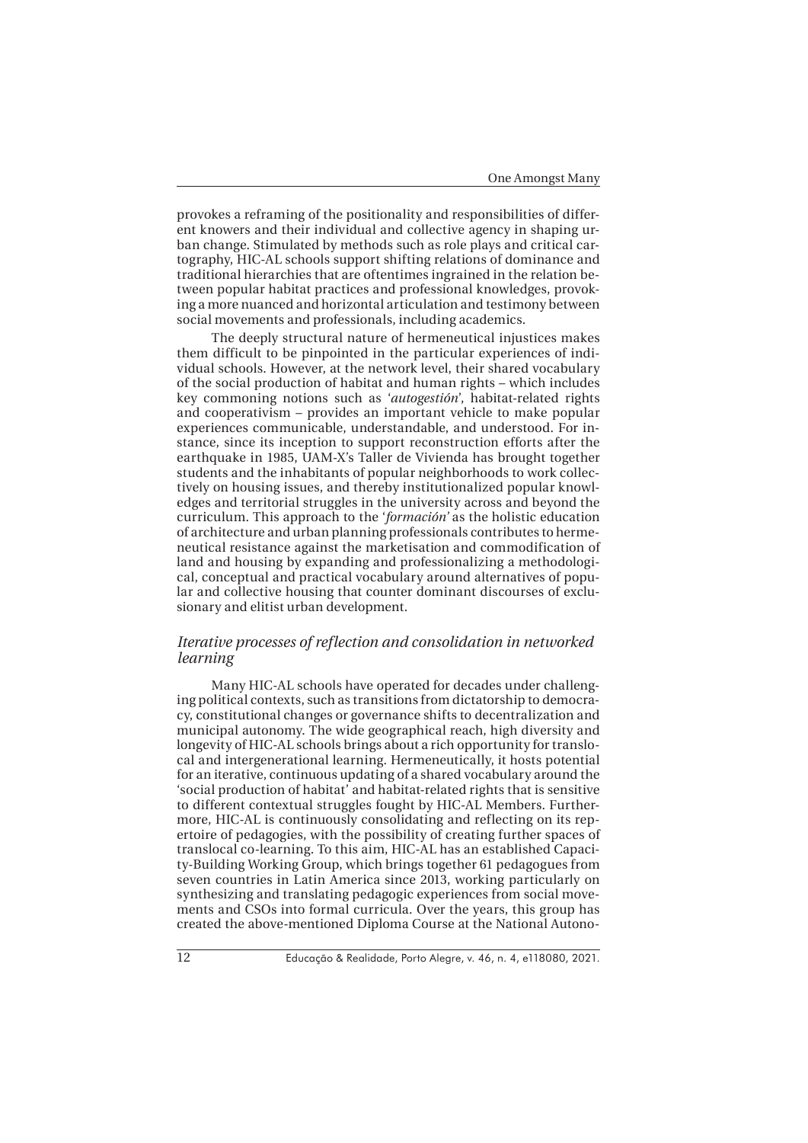provokes a reframing of the positionality and responsibilities of different knowers and their individual and collective agency in shaping urban change. Stimulated by methods such as role plays and critical cartography, HIC-AL schools support shifting relations of dominance and traditional hierarchies that are oftentimes ingrained in the relation between popular habitat practices and professional knowledges, provoking a more nuanced and horizontal articulation and testimony between social movements and professionals, including academics.

The deeply structural nature of hermeneutical injustices makes them difficult to be pinpointed in the particular experiences of individual schools. However, at the network level, their shared vocabulary of the social production of habitat and human rights – which includes key commoning notions such as '*autogestión*', habitat-related rights and cooperativism – provides an important vehicle to make popular experiences communicable, understandable, and understood. For instance, since its inception to support reconstruction efforts after the earthquake in 1985, UAM-X's Taller de Vivienda has brought together students and the inhabitants of popular neighborhoods to work collectively on housing issues, and thereby institutionalized popular knowledges and territorial struggles in the university across and beyond the curriculum. This approach to the '*formación'* as the holistic education of architecture and urban planning professionals contributes to hermeneutical resistance against the marketisation and commodification of land and housing by expanding and professionalizing a methodological, conceptual and practical vocabulary around alternatives of popular and collective housing that counter dominant discourses of exclusionary and elitist urban development.

## *Iterative processes of reflection and consolidation in networked learning*

Many HIC-AL schools have operated for decades under challenging political contexts, such as transitions from dictatorship to democracy, constitutional changes or governance shifts to decentralization and municipal autonomy. The wide geographical reach, high diversity and longevity of HIC-AL schools brings about a rich opportunity for translocal and intergenerational learning. Hermeneutically, it hosts potential for an iterative, continuous updating of a shared vocabulary around the 'social production of habitat' and habitat-related rights that is sensitive to different contextual struggles fought by HIC-AL Members. Furthermore, HIC-AL is continuously consolidating and reflecting on its repertoire of pedagogies, with the possibility of creating further spaces of translocal co-learning. To this aim, HIC-AL has an established Capacity-Building Working Group, which brings together 61 pedagogues from seven countries in Latin America since 2013, working particularly on synthesizing and translating pedagogic experiences from social movements and CSOs into formal curricula. Over the years, this group has created the above-mentioned Diploma Course at the National Autono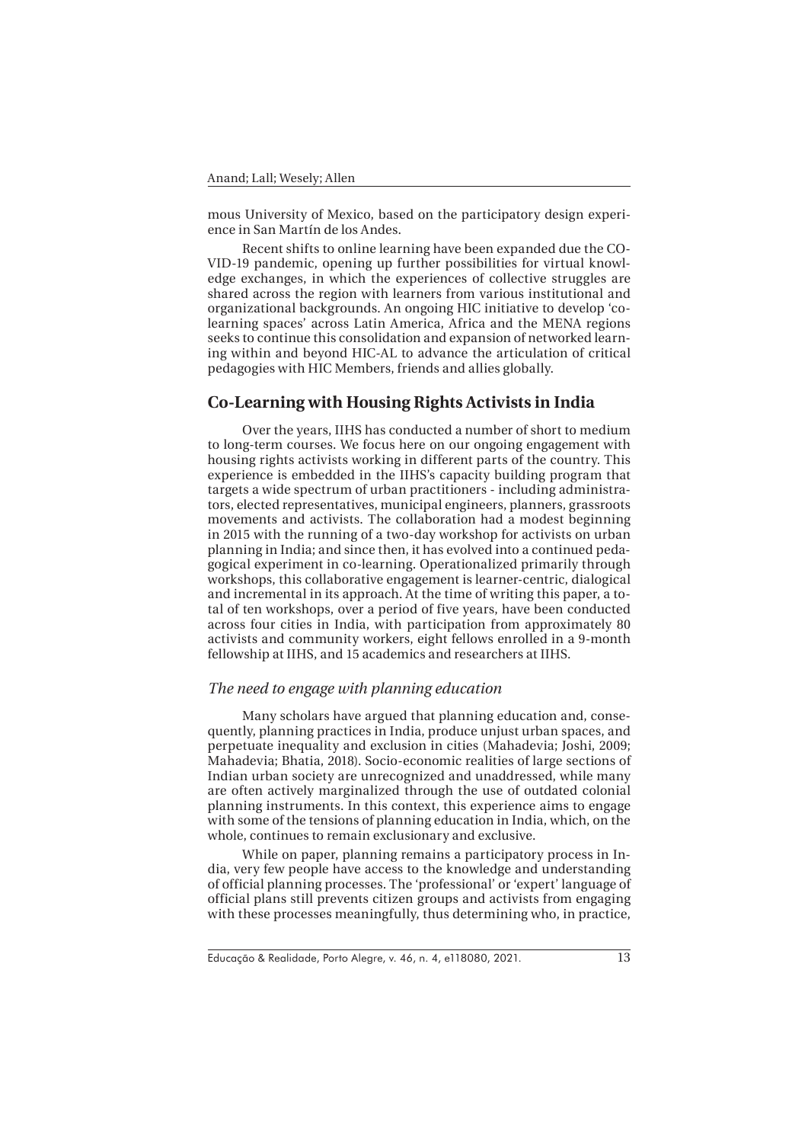mous University of Mexico, based on the participatory design experience in San Martín de los Andes.

Recent shifts to online learning have been expanded due the CO-VID-19 pandemic, opening up further possibilities for virtual knowledge exchanges, in which the experiences of collective struggles are shared across the region with learners from various institutional and organizational backgrounds. An ongoing HIC initiative to develop 'colearning spaces' across Latin America, Africa and the MENA regions seeks to continue this consolidation and expansion of networked learning within and beyond HIC-AL to advance the articulation of critical pedagogies with HIC Members, friends and allies globally.

## **Co-Learning with Housing Rights Activists in India**

Over the years, IIHS has conducted a number of short to medium to long-term courses. We focus here on our ongoing engagement with housing rights activists working in different parts of the country. This experience is embedded in the IIHS's capacity building program that targets a wide spectrum of urban practitioners - including administrators, elected representatives, municipal engineers, planners, grassroots movements and activists. The collaboration had a modest beginning in 2015 with the running of a two-day workshop for activists on urban planning in India; and since then, it has evolved into a continued pedagogical experiment in co-learning. Operationalized primarily through workshops, this collaborative engagement is learner-centric, dialogical and incremental in its approach. At the time of writing this paper, a total of ten workshops, over a period of five years, have been conducted across four cities in India, with participation from approximately 80 activists and community workers, eight fellows enrolled in a 9-month fellowship at IIHS, and 15 academics and researchers at IIHS.

#### *The need to engage with planning education*

Many scholars have argued that planning education and, consequently, planning practices in India, produce unjust urban spaces, and perpetuate inequality and exclusion in cities (Mahadevia; Joshi, 2009; Mahadevia; Bhatia, 2018). Socio-economic realities of large sections of Indian urban society are unrecognized and unaddressed, while many are often actively marginalized through the use of outdated colonial planning instruments. In this context, this experience aims to engage with some of the tensions of planning education in India, which, on the whole, continues to remain exclusionary and exclusive.

While on paper, planning remains a participatory process in India, very few people have access to the knowledge and understanding of official planning processes. The 'professional' or 'expert' language of official plans still prevents citizen groups and activists from engaging with these processes meaningfully, thus determining who, in practice,

Educação & Realidade, Porto Alegre, v. 46, n. 4, e118080, 2021.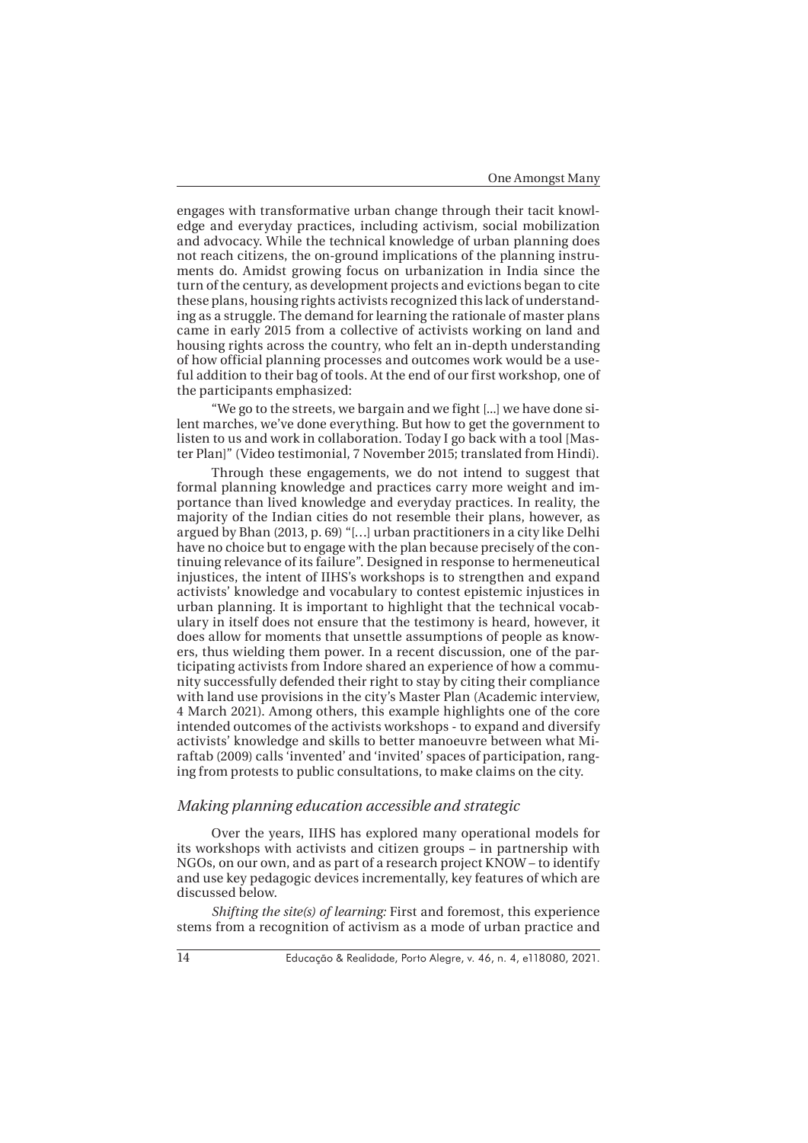engages with transformative urban change through their tacit knowledge and everyday practices, including activism, social mobilization and advocacy. While the technical knowledge of urban planning does not reach citizens, the on-ground implications of the planning instruments do. Amidst growing focus on urbanization in India since the turn of the century, as development projects and evictions began to cite these plans, housing rights activists recognized this lack of understanding as a struggle. The demand for learning the rationale of master plans came in early 2015 from a collective of activists working on land and housing rights across the country, who felt an in-depth understanding of how official planning processes and outcomes work would be a useful addition to their bag of tools. At the end of our first workshop, one of the participants emphasized:

"We go to the streets, we bargain and we fight [...] we have done silent marches, we've done everything. But how to get the government to listen to us and work in collaboration. Today I go back with a tool [Master Plan]" (Video testimonial, 7 November 2015; translated from Hindi).

Through these engagements, we do not intend to suggest that formal planning knowledge and practices carry more weight and importance than lived knowledge and everyday practices. In reality, the majority of the Indian cities do not resemble their plans, however, as argued by Bhan (2013, p. 69) "[…] urban practitioners in a city like Delhi have no choice but to engage with the plan because precisely of the continuing relevance of its failure". Designed in response to hermeneutical injustices, the intent of IIHS's workshops is to strengthen and expand activists' knowledge and vocabulary to contest epistemic injustices in urban planning. It is important to highlight that the technical vocabulary in itself does not ensure that the testimony is heard, however, it does allow for moments that unsettle assumptions of people as knowers, thus wielding them power. In a recent discussion, one of the participating activists from Indore shared an experience of how a community successfully defended their right to stay by citing their compliance with land use provisions in the city's Master Plan (Academic interview, 4 March 2021). Among others, this example highlights one of the core intended outcomes of the activists workshops - to expand and diversify activists' knowledge and skills to better manoeuvre between what Miraftab (2009) calls 'invented' and 'invited' spaces of participation, ranging from protests to public consultations, to make claims on the city.

#### *Making planning education accessible and strategic*

Over the years, IIHS has explored many operational models for its workshops with activists and citizen groups – in partnership with NGOs, on our own, and as part of a research project KNOW – to identify and use key pedagogic devices incrementally, key features of which are discussed below.

*Shifting the site(s) of learning:* First and foremost, this experience stems from a recognition of activism as a mode of urban practice and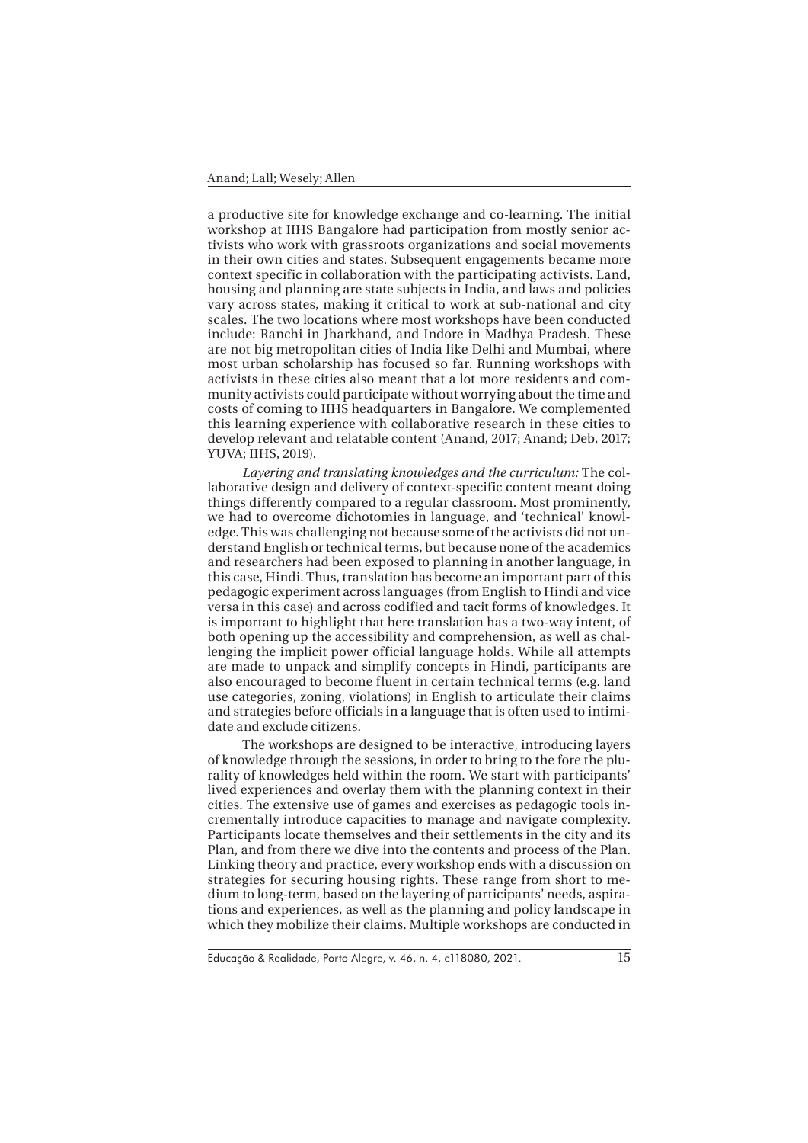a productive site for knowledge exchange and co-learning. The initial workshop at IIHS Bangalore had participation from mostly senior activists who work with grassroots organizations and social movements in their own cities and states. Subsequent engagements became more context specific in collaboration with the participating activists. Land, housing and planning are state subjects in India, and laws and policies vary across states, making it critical to work at sub-national and city scales. The two locations where most workshops have been conducted include: Ranchi in Jharkhand, and Indore in Madhya Pradesh. These are not big metropolitan cities of India like Delhi and Mumbai, where most urban scholarship has focused so far. Running workshops with activists in these cities also meant that a lot more residents and community activists could participate without worrying about the time and costs of coming to IIHS headquarters in Bangalore. We complemented this learning experience with collaborative research in these cities to develop relevant and relatable content (Anand, 2017; Anand; Deb, 2017; YUVA; IIHS, 2019).

*Layering and translating knowledges and the curriculum:* The collaborative design and delivery of context-specific content meant doing things differently compared to a regular classroom. Most prominently, we had to overcome dichotomies in language, and 'technical' knowledge. This was challenging not because some of the activists did not understand English or technical terms, but because none of the academics and researchers had been exposed to planning in another language, in this case, Hindi. Thus, translation has become an important part of this pedagogic experiment across languages (from English to Hindi and vice versa in this case) and across codified and tacit forms of knowledges. It is important to highlight that here translation has a two-way intent, of both opening up the accessibility and comprehension, as well as challenging the implicit power official language holds. While all attempts are made to unpack and simplify concepts in Hindi, participants are also encouraged to become fluent in certain technical terms (e.g. land use categories, zoning, violations) in English to articulate their claims and strategies before officials in a language that is often used to intimidate and exclude citizens.

The workshops are designed to be interactive, introducing layers of knowledge through the sessions, in order to bring to the fore the plurality of knowledges held within the room. We start with participants' lived experiences and overlay them with the planning context in their cities. The extensive use of games and exercises as pedagogic tools incrementally introduce capacities to manage and navigate complexity. Participants locate themselves and their settlements in the city and its Plan, and from there we dive into the contents and process of the Plan. Linking theory and practice, every workshop ends with a discussion on strategies for securing housing rights. These range from short to medium to long-term, based on the layering of participants' needs, aspirations and experiences, as well as the planning and policy landscape in which they mobilize their claims. Multiple workshops are conducted in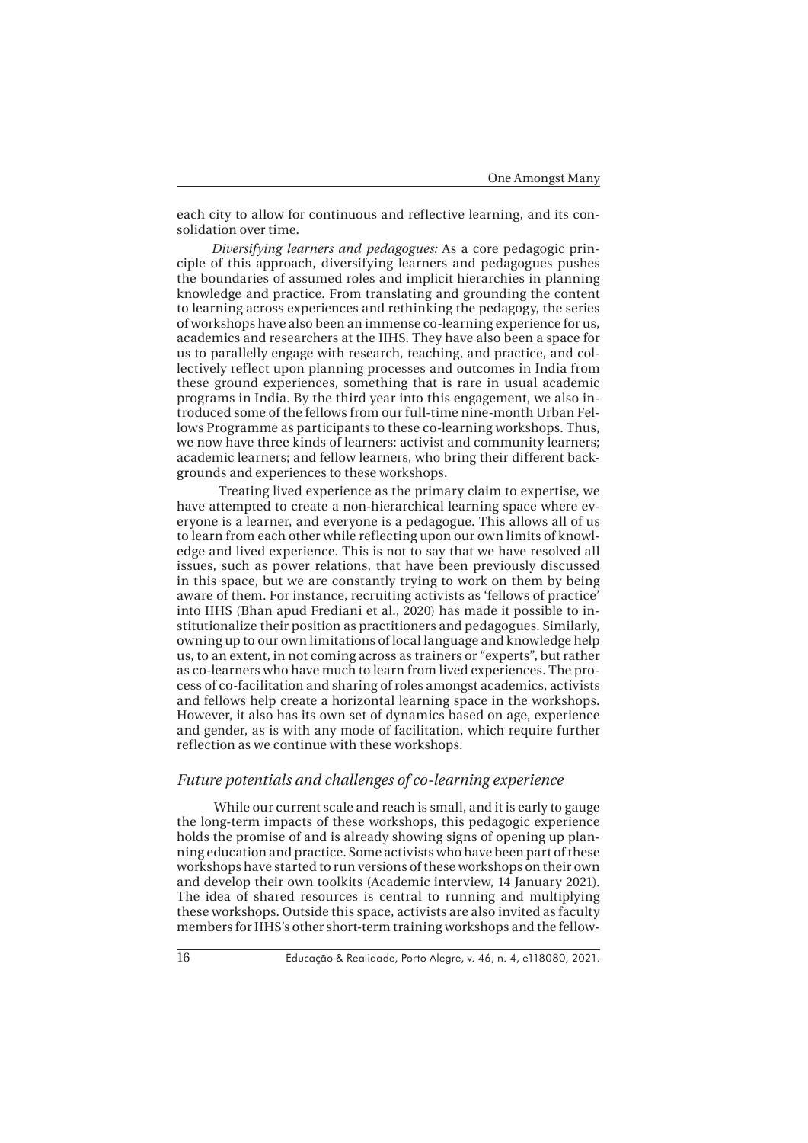each city to allow for continuous and reflective learning, and its consolidation over time.

*Diversifying learners and pedagogues:* As a core pedagogic principle of this approach, diversifying learners and pedagogues pushes the boundaries of assumed roles and implicit hierarchies in planning knowledge and practice. From translating and grounding the content to learning across experiences and rethinking the pedagogy, the series of workshops have also been an immense co-learning experience for us, academics and researchers at the IIHS. They have also been a space for us to parallelly engage with research, teaching, and practice, and collectively reflect upon planning processes and outcomes in India from these ground experiences, something that is rare in usual academic programs in India. By the third year into this engagement, we also introduced some of the fellows from our full-time nine-month Urban Fellows Programme as participants to these co-learning workshops. Thus, we now have three kinds of learners: activist and community learners; academic learners; and fellow learners, who bring their different backgrounds and experiences to these workshops.

 Treating lived experience as the primary claim to expertise, we have attempted to create a non-hierarchical learning space where everyone is a learner, and everyone is a pedagogue. This allows all of us to learn from each other while reflecting upon our own limits of knowledge and lived experience. This is not to say that we have resolved all issues, such as power relations, that have been previously discussed in this space, but we are constantly trying to work on them by being aware of them. For instance, recruiting activists as 'fellows of practice' into IIHS (Bhan apud Frediani et al., 2020) has made it possible to institutionalize their position as practitioners and pedagogues. Similarly, owning up to our own limitations of local language and knowledge help us, to an extent, in not coming across as trainers or "experts", but rather as co-learners who have much to learn from lived experiences. The process of co-facilitation and sharing of roles amongst academics, activists and fellows help create a horizontal learning space in the workshops. However, it also has its own set of dynamics based on age, experience and gender, as is with any mode of facilitation, which require further reflection as we continue with these workshops.

#### *Future potentials and challenges of co-learning experience*

 While our current scale and reach is small, and it is early to gauge the long-term impacts of these workshops, this pedagogic experience holds the promise of and is already showing signs of opening up planning education and practice. Some activists who have been part of these workshops have started to run versions of these workshops on their own and develop their own toolkits (Academic interview, 14 January 2021). The idea of shared resources is central to running and multiplying these workshops. Outside this space, activists are also invited as faculty members for IIHS's other short-term training workshops and the fellow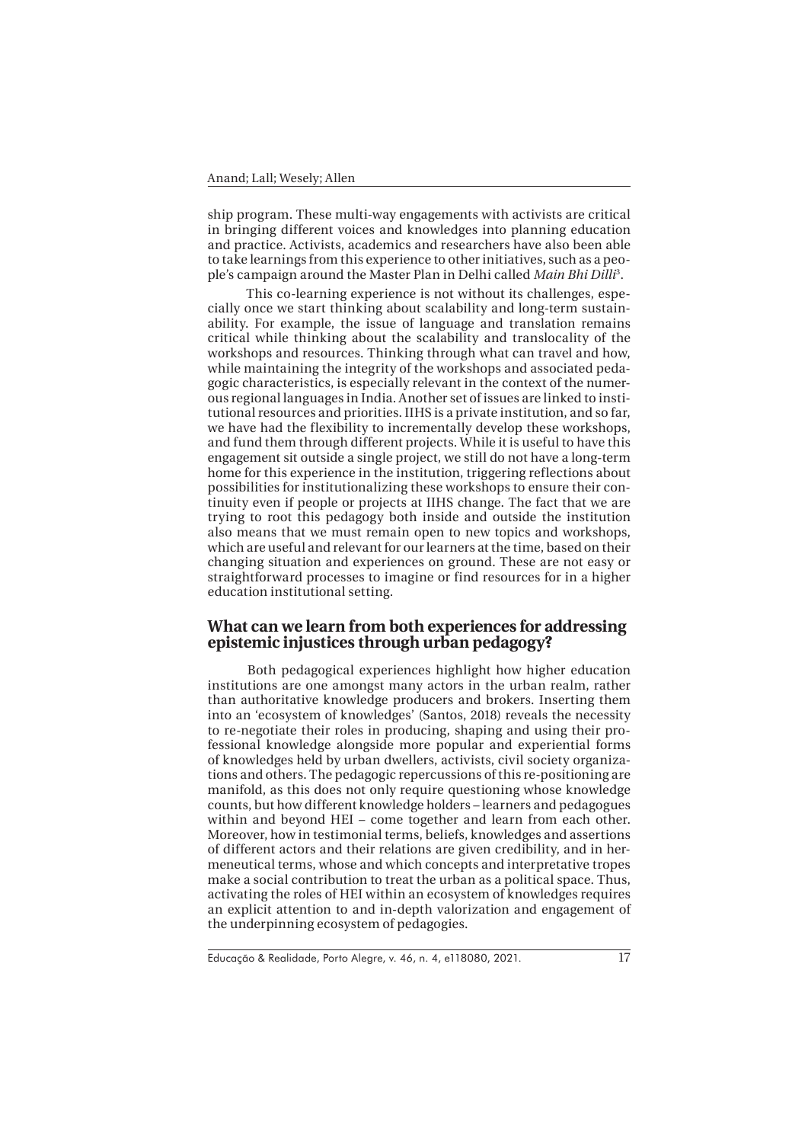ship program. These multi-way engagements with activists are critical in bringing different voices and knowledges into planning education and practice. Activists, academics and researchers have also been able to take learnings from this experience to other initiatives, such as a people's campaign around the Master Plan in Delhi called *Main Bhi Dilli*<sup>3</sup> .

 This co-learning experience is not without its challenges, especially once we start thinking about scalability and long-term sustainability. For example, the issue of language and translation remains critical while thinking about the scalability and translocality of the workshops and resources. Thinking through what can travel and how, while maintaining the integrity of the workshops and associated pedagogic characteristics, is especially relevant in the context of the numerous regional languages in India. Another set of issues are linked to institutional resources and priorities. IIHS is a private institution, and so far, we have had the flexibility to incrementally develop these workshops, and fund them through different projects. While it is useful to have this engagement sit outside a single project, we still do not have a long-term home for this experience in the institution, triggering reflections about possibilities for institutionalizing these workshops to ensure their continuity even if people or projects at IIHS change. The fact that we are trying to root this pedagogy both inside and outside the institution also means that we must remain open to new topics and workshops, which are useful and relevant for our learners at the time, based on their changing situation and experiences on ground. These are not easy or straightforward processes to imagine or find resources for in a higher education institutional setting.

# **What can we learn from both experiences for addressing epistemic injustices through urban pedagogy?**

 Both pedagogical experiences highlight how higher education institutions are one amongst many actors in the urban realm, rather than authoritative knowledge producers and brokers. Inserting them into an 'ecosystem of knowledges' (Santos, 2018) reveals the necessity to re-negotiate their roles in producing, shaping and using their professional knowledge alongside more popular and experiential forms of knowledges held by urban dwellers, activists, civil society organizations and others. The pedagogic repercussions of this re-positioning are manifold, as this does not only require questioning whose knowledge counts, but how different knowledge holders – learners and pedagogues within and beyond HEI – come together and learn from each other. Moreover, how in testimonial terms, beliefs, knowledges and assertions of different actors and their relations are given credibility, and in hermeneutical terms, whose and which concepts and interpretative tropes make a social contribution to treat the urban as a political space. Thus, activating the roles of HEI within an ecosystem of knowledges requires an explicit attention to and in-depth valorization and engagement of the underpinning ecosystem of pedagogies.

Educação & Realidade, Porto Alegre, v. 46, n. 4, e118080, 2021.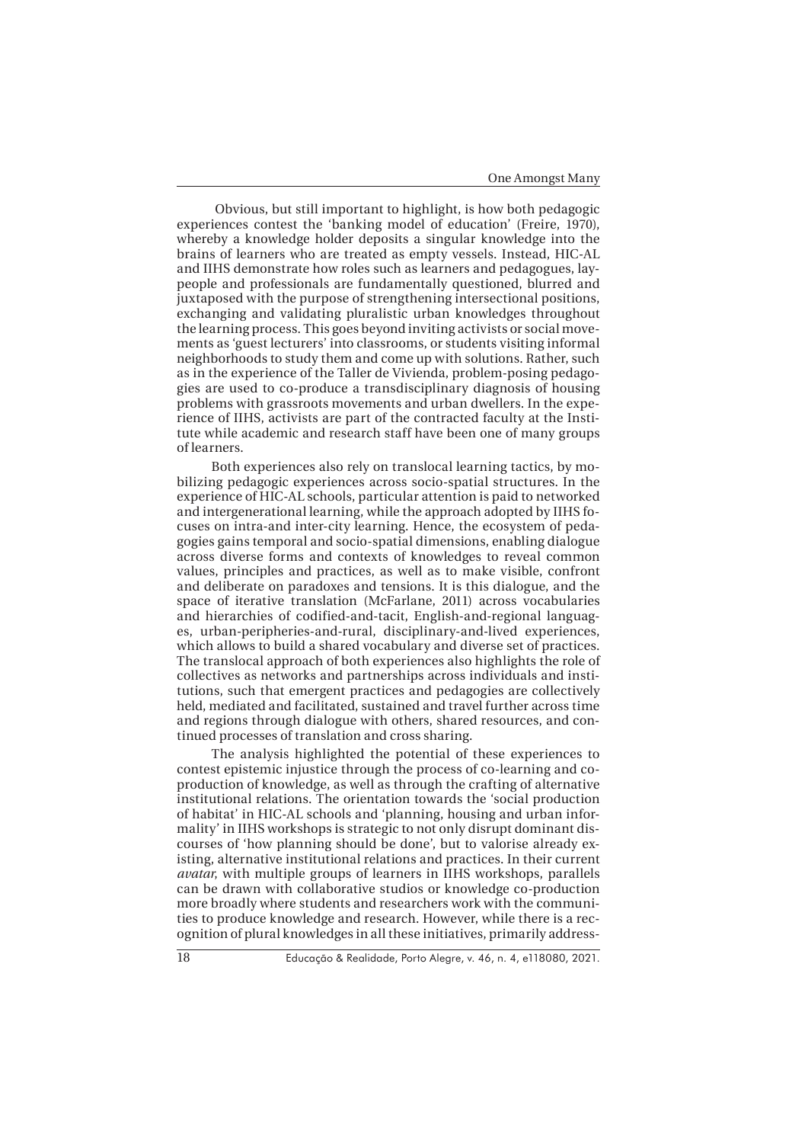Obvious, but still important to highlight, is how both pedagogic experiences contest the 'banking model of education' (Freire, 1970), whereby a knowledge holder deposits a singular knowledge into the brains of learners who are treated as empty vessels. Instead, HIC-AL and IIHS demonstrate how roles such as learners and pedagogues, laypeople and professionals are fundamentally questioned, blurred and juxtaposed with the purpose of strengthening intersectional positions, exchanging and validating pluralistic urban knowledges throughout the learning process. This goes beyond inviting activists or social movements as 'guest lecturers' into classrooms, or students visiting informal neighborhoods to study them and come up with solutions. Rather, such as in the experience of the Taller de Vivienda, problem-posing pedagogies are used to co-produce a transdisciplinary diagnosis of housing problems with grassroots movements and urban dwellers. In the experience of IIHS, activists are part of the contracted faculty at the Institute while academic and research staff have been one of many groups of learners.

Both experiences also rely on translocal learning tactics, by mobilizing pedagogic experiences across socio-spatial structures. In the experience of HIC-AL schools, particular attention is paid to networked and intergenerational learning, while the approach adopted by IIHS focuses on intra-and inter-city learning. Hence, the ecosystem of pedagogies gains temporal and socio-spatial dimensions, enabling dialogue across diverse forms and contexts of knowledges to reveal common values, principles and practices, as well as to make visible, confront and deliberate on paradoxes and tensions. It is this dialogue, and the space of iterative translation (McFarlane, 2011) across vocabularies and hierarchies of codified-and-tacit, English-and-regional languages, urban-peripheries-and-rural, disciplinary-and-lived experiences, which allows to build a shared vocabulary and diverse set of practices. The translocal approach of both experiences also highlights the role of collectives as networks and partnerships across individuals and institutions, such that emergent practices and pedagogies are collectively held, mediated and facilitated, sustained and travel further across time and regions through dialogue with others, shared resources, and continued processes of translation and cross sharing.

The analysis highlighted the potential of these experiences to contest epistemic injustice through the process of co-learning and coproduction of knowledge, as well as through the crafting of alternative institutional relations. The orientation towards the 'social production of habitat' in HIC-AL schools and 'planning, housing and urban informality' in IIHS workshops is strategic to not only disrupt dominant discourses of 'how planning should be done', but to valorise already existing, alternative institutional relations and practices. In their current *avatar*, with multiple groups of learners in IIHS workshops, parallels can be drawn with collaborative studios or knowledge co-production more broadly where students and researchers work with the communities to produce knowledge and research. However, while there is a recognition of plural knowledges in all these initiatives, primarily address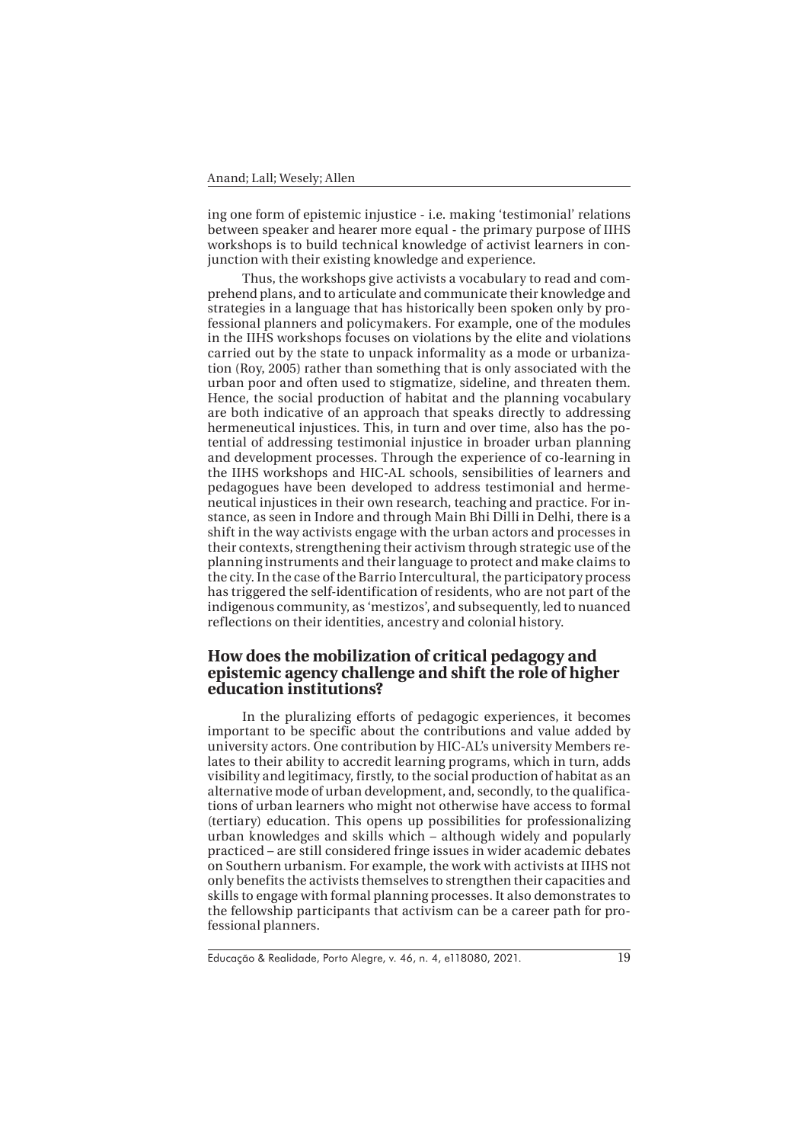ing one form of epistemic injustice - i.e. making 'testimonial' relations between speaker and hearer more equal - the primary purpose of IIHS workshops is to build technical knowledge of activist learners in conjunction with their existing knowledge and experience.

Thus, the workshops give activists a vocabulary to read and comprehend plans, and to articulate and communicate their knowledge and strategies in a language that has historically been spoken only by professional planners and policymakers. For example, one of the modules in the IIHS workshops focuses on violations by the elite and violations carried out by the state to unpack informality as a mode or urbanization (Roy, 2005) rather than something that is only associated with the urban poor and often used to stigmatize, sideline, and threaten them. Hence, the social production of habitat and the planning vocabulary are both indicative of an approach that speaks directly to addressing hermeneutical injustices. This, in turn and over time, also has the potential of addressing testimonial injustice in broader urban planning and development processes. Through the experience of co-learning in the IIHS workshops and HIC-AL schools, sensibilities of learners and pedagogues have been developed to address testimonial and hermeneutical injustices in their own research, teaching and practice. For instance, as seen in Indore and through Main Bhi Dilli in Delhi, there is a shift in the way activists engage with the urban actors and processes in their contexts, strengthening their activism through strategic use of the planning instruments and their language to protect and make claims to the city. In the case of the Barrio Intercultural, the participatory process has triggered the self-identification of residents, who are not part of the indigenous community, as 'mestizos', and subsequently, led to nuanced reflections on their identities, ancestry and colonial history.

# **How does the mobilization of critical pedagogy and epistemic agency challenge and shift the role of higher education institutions?**

In the pluralizing efforts of pedagogic experiences, it becomes important to be specific about the contributions and value added by university actors. One contribution by HIC-AL's university Members relates to their ability to accredit learning programs, which in turn, adds visibility and legitimacy, firstly, to the social production of habitat as an alternative mode of urban development, and, secondly, to the qualifications of urban learners who might not otherwise have access to formal (tertiary) education. This opens up possibilities for professionalizing urban knowledges and skills which – although widely and popularly practiced – are still considered fringe issues in wider academic debates on Southern urbanism. For example, the work with activists at IIHS not only benefits the activists themselves to strengthen their capacities and skills to engage with formal planning processes. It also demonstrates to the fellowship participants that activism can be a career path for professional planners.

Educação & Realidade, Porto Alegre, v. 46, n. 4, e118080, 2021.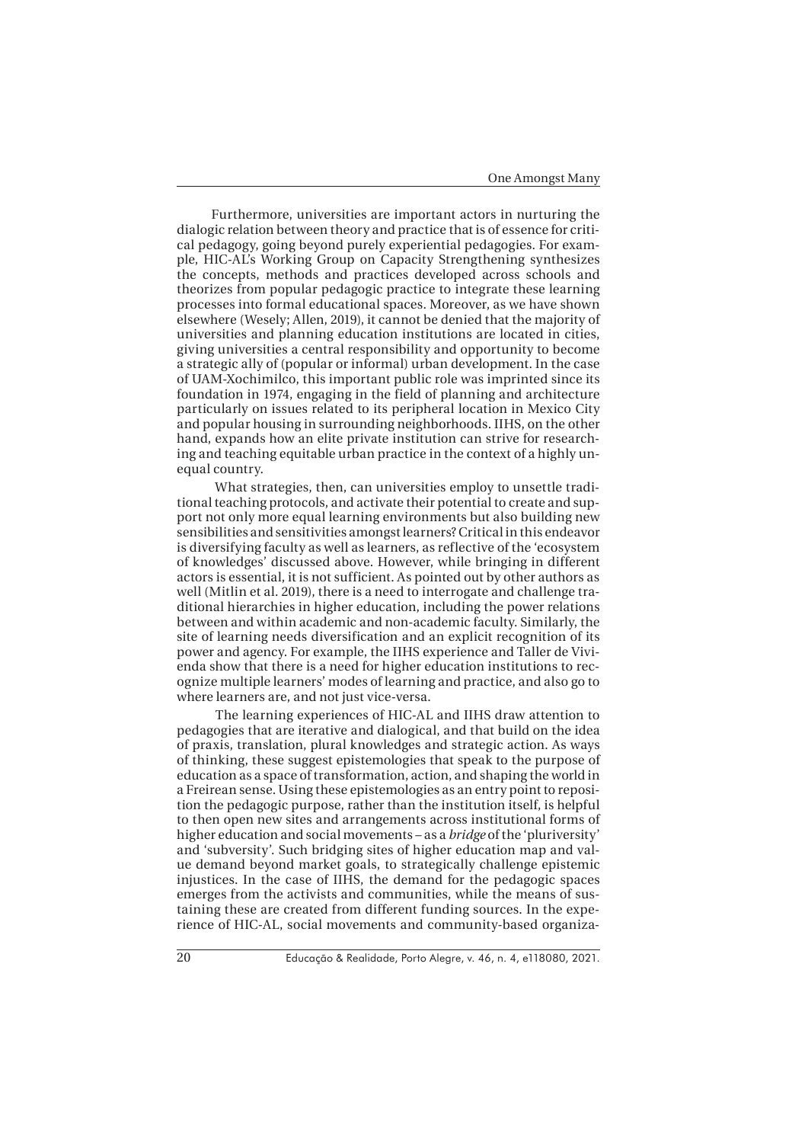Furthermore, universities are important actors in nurturing the dialogic relation between theory and practice that is of essence for critical pedagogy, going beyond purely experiential pedagogies. For example, HIC-AL's Working Group on Capacity Strengthening synthesizes the concepts, methods and practices developed across schools and theorizes from popular pedagogic practice to integrate these learning processes into formal educational spaces. Moreover, as we have shown elsewhere (Wesely; Allen, 2019), it cannot be denied that the majority of universities and planning education institutions are located in cities, giving universities a central responsibility and opportunity to become a strategic ally of (popular or informal) urban development. In the case of UAM-Xochimilco, this important public role was imprinted since its foundation in 1974, engaging in the field of planning and architecture particularly on issues related to its peripheral location in Mexico City and popular housing in surrounding neighborhoods. IIHS, on the other hand, expands how an elite private institution can strive for researching and teaching equitable urban practice in the context of a highly unequal country.

 What strategies, then, can universities employ to unsettle traditional teaching protocols, and activate their potential to create and support not only more equal learning environments but also building new sensibilities and sensitivities amongst learners? Critical in this endeavor is diversifying faculty as well as learners, as reflective of the 'ecosystem of knowledges' discussed above. However, while bringing in different actors is essential, it is not sufficient. As pointed out by other authors as well (Mitlin et al. 2019), there is a need to interrogate and challenge traditional hierarchies in higher education, including the power relations between and within academic and non-academic faculty. Similarly, the site of learning needs diversification and an explicit recognition of its power and agency. For example, the IIHS experience and Taller de Vivienda show that there is a need for higher education institutions to recognize multiple learners' modes of learning and practice, and also go to where learners are, and not just vice-versa.

 The learning experiences of HIC-AL and IIHS draw attention to pedagogies that are iterative and dialogical, and that build on the idea of praxis, translation, plural knowledges and strategic action. As ways of thinking, these suggest epistemologies that speak to the purpose of education as a space of transformation, action, and shaping the world in a Freirean sense. Using these epistemologies as an entry point to reposition the pedagogic purpose, rather than the institution itself, is helpful to then open new sites and arrangements across institutional forms of higher education and social movements – as a *bridge* of the 'pluriversity' and 'subversity'. Such bridging sites of higher education map and value demand beyond market goals, to strategically challenge epistemic injustices. In the case of IIHS, the demand for the pedagogic spaces emerges from the activists and communities, while the means of sustaining these are created from different funding sources. In the experience of HIC-AL, social movements and community-based organiza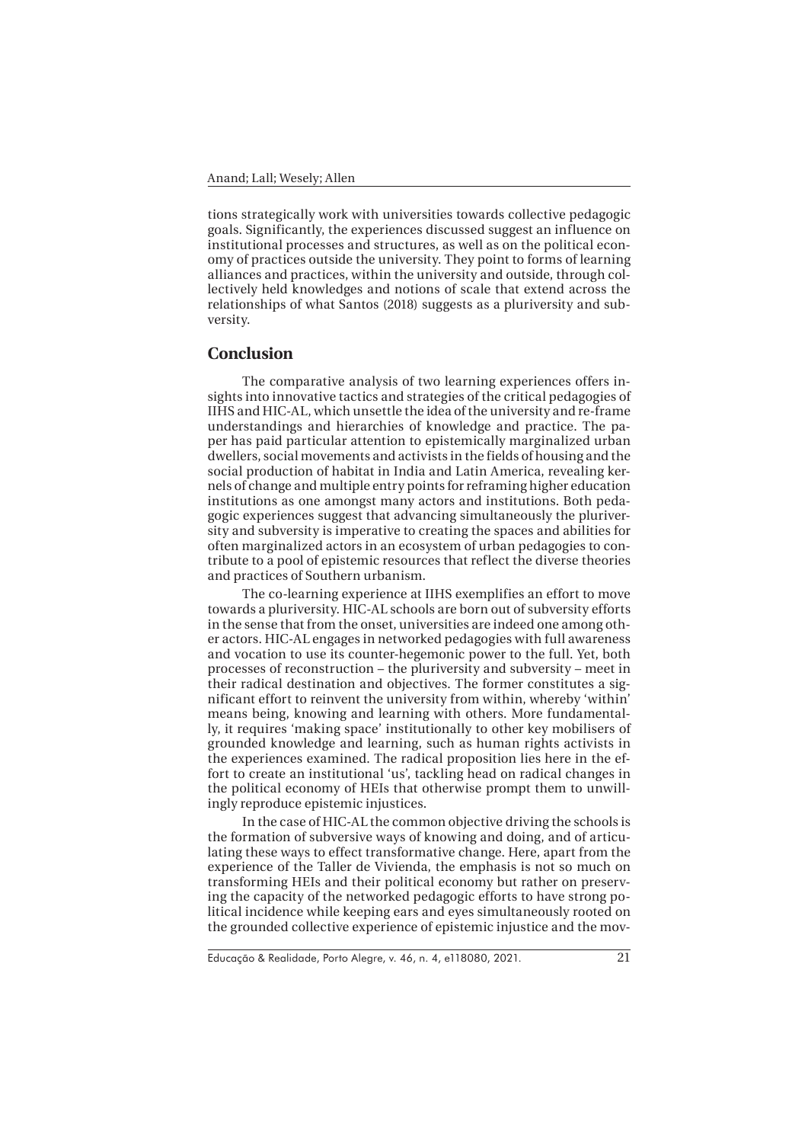tions strategically work with universities towards collective pedagogic goals. Significantly, the experiences discussed suggest an influence on institutional processes and structures, as well as on the political economy of practices outside the university. They point to forms of learning alliances and practices, within the university and outside, through collectively held knowledges and notions of scale that extend across the relationships of what Santos (2018) suggests as a pluriversity and subversity.

#### **Conclusion**

The comparative analysis of two learning experiences offers insights into innovative tactics and strategies of the critical pedagogies of IIHS and HIC-AL, which unsettle the idea of the university and re-frame understandings and hierarchies of knowledge and practice. The paper has paid particular attention to epistemically marginalized urban dwellers, social movements and activists in the fields of housing and the social production of habitat in India and Latin America, revealing kernels of change and multiple entry points for reframing higher education institutions as one amongst many actors and institutions. Both pedagogic experiences suggest that advancing simultaneously the pluriversity and subversity is imperative to creating the spaces and abilities for often marginalized actors in an ecosystem of urban pedagogies to contribute to a pool of epistemic resources that reflect the diverse theories and practices of Southern urbanism.

The co-learning experience at IIHS exemplifies an effort to move towards a pluriversity. HIC-AL schools are born out of subversity efforts in the sense that from the onset, universities are indeed one among other actors. HIC-AL engages in networked pedagogies with full awareness and vocation to use its counter-hegemonic power to the full. Yet, both processes of reconstruction – the pluriversity and subversity – meet in their radical destination and objectives. The former constitutes a significant effort to reinvent the university from within, whereby 'within' means being, knowing and learning with others. More fundamentally, it requires 'making space' institutionally to other key mobilisers of grounded knowledge and learning, such as human rights activists in the experiences examined. The radical proposition lies here in the effort to create an institutional 'us', tackling head on radical changes in the political economy of HEIs that otherwise prompt them to unwillingly reproduce epistemic injustices.

In the case of HIC-AL the common objective driving the schools is the formation of subversive ways of knowing and doing, and of articulating these ways to effect transformative change. Here, apart from the experience of the Taller de Vivienda, the emphasis is not so much on transforming HEIs and their political economy but rather on preserving the capacity of the networked pedagogic efforts to have strong political incidence while keeping ears and eyes simultaneously rooted on the grounded collective experience of epistemic injustice and the mov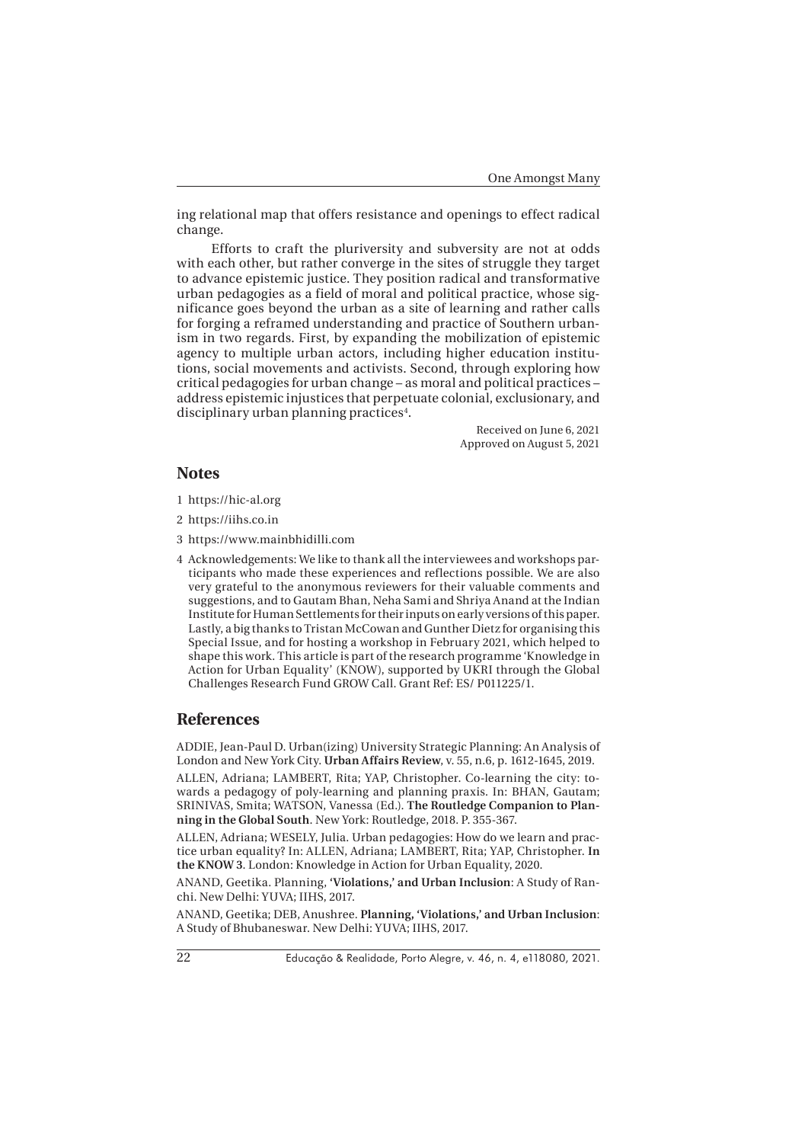ing relational map that offers resistance and openings to effect radical change.

Efforts to craft the pluriversity and subversity are not at odds with each other, but rather converge in the sites of struggle they target to advance epistemic justice. They position radical and transformative urban pedagogies as a field of moral and political practice, whose significance goes beyond the urban as a site of learning and rather calls for forging a reframed understanding and practice of Southern urbanism in two regards. First, by expanding the mobilization of epistemic agency to multiple urban actors, including higher education institutions, social movements and activists. Second, through exploring how critical pedagogies for urban change – as moral and political practices – address epistemic injustices that perpetuate colonial, exclusionary, and disciplinary urban planning practices<sup>4</sup>.

> Received on June 6, 2021 Approved on August 5, 2021

## **Notes**

- 1 https://hic-al.org
- 2 https://iihs.co.in
- 3 https://www.mainbhidilli.com
- 4 Acknowledgements: We like to thank all the interviewees and workshops participants who made these experiences and reflections possible. We are also very grateful to the anonymous reviewers for their valuable comments and suggestions, and to Gautam Bhan, Neha Sami and Shriya Anand at the Indian Institute for Human Settlements for their inputs on early versions of this paper. Lastly, a big thanks to Tristan McCowan and Gunther Dietz for organising this Special Issue, and for hosting a workshop in February 2021, which helped to shape this work. This article is part of the research programme 'Knowledge in Action for Urban Equality' (KNOW), supported by UKRI through the Global Challenges Research Fund GROW Call. Grant Ref: ES/ P011225/1.

### **References**

ADDIE, Jean-Paul D. Urban(izing) University Strategic Planning: An Analysis of London and New York City. **Urban Affairs Review**, v. 55, n.6, p. 1612-1645, 2019.

ALLEN, Adriana; LAMBERT, Rita; YAP, Christopher. Co-learning the city: towards a pedagogy of poly-learning and planning praxis. In: BHAN, Gautam; SRINIVAS, Smita; WATSON, Vanessa (Ed.). **The Routledge Companion to Planning in the Global South**. New York: Routledge, 2018. P. 355-367.

ALLEN, Adriana; WESELY, Julia. Urban pedagogies: How do we learn and practice urban equality? In: ALLEN, Adriana; LAMBERT, Rita; YAP, Christopher. **In the KNOW 3**. London: Knowledge in Action for Urban Equality, 2020.

ANAND, Geetika. Planning, **'Violations,' and Urban Inclusion**: A Study of Ranchi. New Delhi: YUVA; IIHS, 2017.

ANAND, Geetika; DEB, Anushree. **Planning, 'Violations,' and Urban Inclusion**: A Study of Bhubaneswar. New Delhi: YUVA; IIHS, 2017.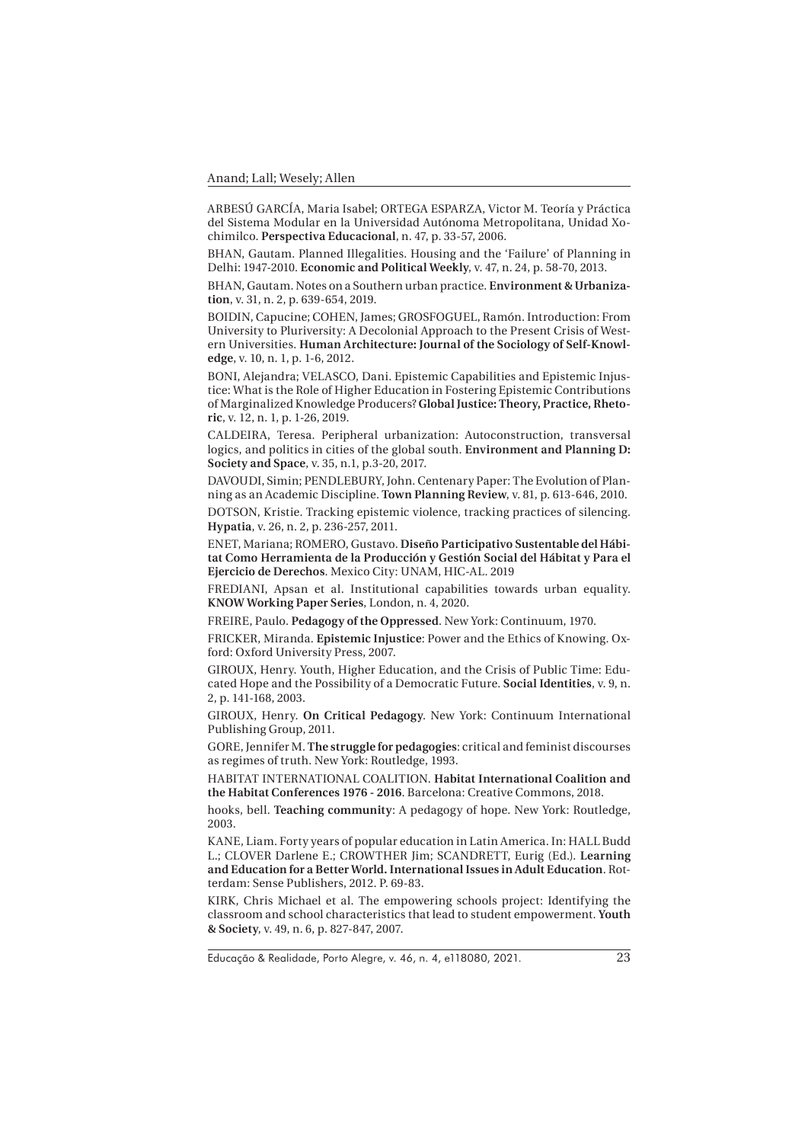ARBESÚ GARCÍA, Maria Isabel; ORTEGA ESPARZA, Victor M. Teoría y Práctica del Sistema Modular en la Universidad Autónoma Metropolitana, Unidad Xochimilco. **Perspectiva Educacional**, n. 47, p. 33-57, 2006.

BHAN, Gautam. Planned Illegalities. Housing and the 'Failure' of Planning in Delhi: 1947-2010. **Economic and Political Weekly**, v. 47, n. 24, p. 58-70, 2013.

BHAN, Gautam. Notes on a Southern urban practice. **Environment & Urbanization**, v. 31, n. 2, p. 639-654, 2019.

BOIDIN, Capucine; COHEN, James; GROSFOGUEL, Ramón. Introduction: From University to Pluriversity: A Decolonial Approach to the Present Crisis of Western Universities. **Human Architecture: Journal of the Sociology of Self-Knowledge**, v. 10, n. 1, p. 1-6, 2012.

BONI, Alejandra; VELASCO, Dani. Epistemic Capabilities and Epistemic Injustice: What is the Role of Higher Education in Fostering Epistemic Contributions of Marginalized Knowledge Producers? **Global Justice: Theory, Practice, Rhetoric**, v. 12, n. 1, p. 1-26, 2019.

CALDEIRA, Teresa. Peripheral urbanization: Autoconstruction, transversal logics, and politics in cities of the global south. **Environment and Planning D: Society and Space**, v. 35, n.1, p.3-20, 2017.

DAVOUDI, Simin; PENDLEBURY, John. Centenary Paper: The Evolution of Planning as an Academic Discipline. **Town Planning Review**, v. 81, p. 613-646, 2010.

DOTSON, Kristie. Tracking epistemic violence, tracking practices of silencing. **Hypatia**, v. 26, n. 2, p. 236-257, 2011.

ENET, Mariana; ROMERO, Gustavo. **Diseño Participativo Sustentable del Hábitat Como Herramienta de la Producción y Gestión Social del Hábitat y Para el Ejercicio de Derechos**. Mexico City: UNAM, HIC-AL. 2019

FREDIANI, Apsan et al. Institutional capabilities towards urban equality. **KNOW Working Paper Series**, London, n. 4, 2020.

FREIRE, Paulo. **Pedagogy of the Oppressed**. New York: Continuum, 1970.

FRICKER, Miranda. **Epistemic Injustice**: Power and the Ethics of Knowing. Oxford: Oxford University Press, 2007.

GIROUX, Henry. Youth, Higher Education, and the Crisis of Public Time: Educated Hope and the Possibility of a Democratic Future. **Social Identities**, v. 9, n. 2, p. 141-168, 2003.

GIROUX, Henry. **On Critical Pedagogy**. New York: Continuum International Publishing Group, 2011.

GORE, Jennifer M. **The struggle for pedagogies**: critical and feminist discourses as regimes of truth. New York: Routledge, 1993.

HABITAT INTERNATIONAL COALITION. **Habitat International Coalition and the Habitat Conferences 1976 - 2016**. Barcelona: Creative Commons, 2018.

hooks, bell. **Teaching community**: A pedagogy of hope. New York: Routledge, 2003.

KANE, Liam. Forty years of popular education in Latin America. In: HALL Budd L.; CLOVER Darlene E.; CROWTHER Jim; SCANDRETT, Eurig (Ed.). **Learning and Education for a Better World. International Issues in Adult Education**. Rotterdam: Sense Publishers, 2012. P. 69-83.

KIRK, Chris Michael et al. The empowering schools project: Identifying the classroom and school characteristics that lead to student empowerment. **Youth & Society**, v. 49, n. 6, p. 827-847, 2007.

Educação & Realidade, Porto Alegre, v. 46, n. 4, e118080, 2021.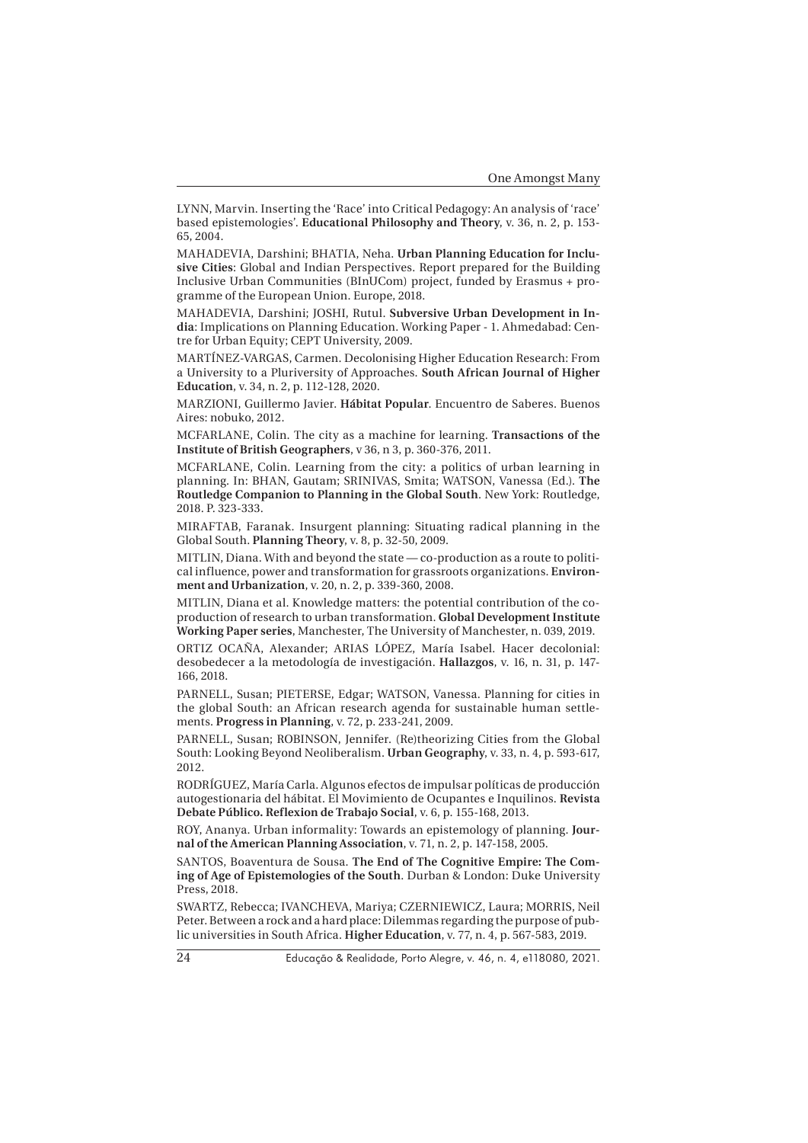LYNN, Marvin. Inserting the 'Race' into Critical Pedagogy: An analysis of 'race' based epistemologies'. **Educational Philosophy and Theory**, v. 36, n. 2, p. 153- 65, 2004.

MAHADEVIA, Darshini; BHATIA, Neha. **Urban Planning Education for Inclusive Cities**: Global and Indian Perspectives. Report prepared for the Building Inclusive Urban Communities (BInUCom) project, funded by Erasmus + programme of the European Union. Europe, 2018.

MAHADEVIA, Darshini; JOSHI, Rutul. **Subversive Urban Development in India**: Implications on Planning Education. Working Paper - 1. Ahmedabad: Centre for Urban Equity; CEPT University, 2009.

MARTÍNEZ-VARGAS, Carmen. Decolonising Higher Education Research: From a University to a Pluriversity of Approaches. **South African Journal of Higher Education**, v. 34, n. 2, p. 112-128, 2020.

MARZIONI, Guillermo Javier. **Hábitat Popular**. Encuentro de Saberes. Buenos Aires: nobuko, 2012.

MCFARLANE, Colin. The city as a machine for learning. **Transactions of the Institute of British Geographers**, v 36, n 3, p. 360-376, 2011.

MCFARLANE, Colin. Learning from the city: a politics of urban learning in planning. In: BHAN, Gautam; SRINIVAS, Smita; WATSON, Vanessa (Ed.). **The Routledge Companion to Planning in the Global South**. New York: Routledge, 2018. P. 323-333.

MIRAFTAB, Faranak. Insurgent planning: Situating radical planning in the Global South. **Planning Theory**, v. 8, p. 32-50, 2009.

MITLIN, Diana. With and beyond the state — co-production as a route to political influence, power and transformation for grassroots organizations. **Environment and Urbanization**, v. 20, n. 2, p. 339-360, 2008.

MITLIN, Diana et al. Knowledge matters: the potential contribution of the coproduction of research to urban transformation. **Global Development Institute Working Paper series**, Manchester, The University of Manchester, n. 039, 2019.

ORTIZ OCAÑA, Alexander; ARIAS LÓPEZ, María Isabel. Hacer decolonial: desobedecer a la metodologí a de investigació n. **Hallazgos**, v. 16, n. 31, p. 147- 166, 2018.

PARNELL, Susan; PIETERSE, Edgar; WATSON, Vanessa. Planning for cities in the global South: an African research agenda for sustainable human settlements. **Progress in Planning**, v. 72, p. 233-241, 2009.

PARNELL, Susan; ROBINSON, Jennifer. (Re)theorizing Cities from the Global South: Looking Beyond Neoliberalism. **Urban Geography**, v. 33, n. 4, p. 593-617, 2012.

RODRÍGUEZ, María Carla. Algunos efectos de impulsar políticas de producción autogestionaria del hábitat. El Movimiento de Ocupantes e Inquilinos. **Revista Debate Público. Reflexion de Trabajo Social**, v. 6, p. 155-168, 2013.

ROY, Ananya. Urban informality: Towards an epistemology of planning. **Journal of the American Planning Association**, v. 71, n. 2, p. 147-158, 2005.

SANTOS, Boaventura de Sousa. **The End of The Cognitive Empire: The Coming of Age of Epistemologies of the South**. Durban & London: Duke University Press, 2018.

SWARTZ, Rebecca; IVANCHEVA, Mariya; CZERNIEWICZ, Laura; MORRIS, Neil Peter. Between a rock and a hard place: Dilemmas regarding the purpose of public universities in South Africa. **Higher Education**, v. 77, n. 4, p. 567-583, 2019.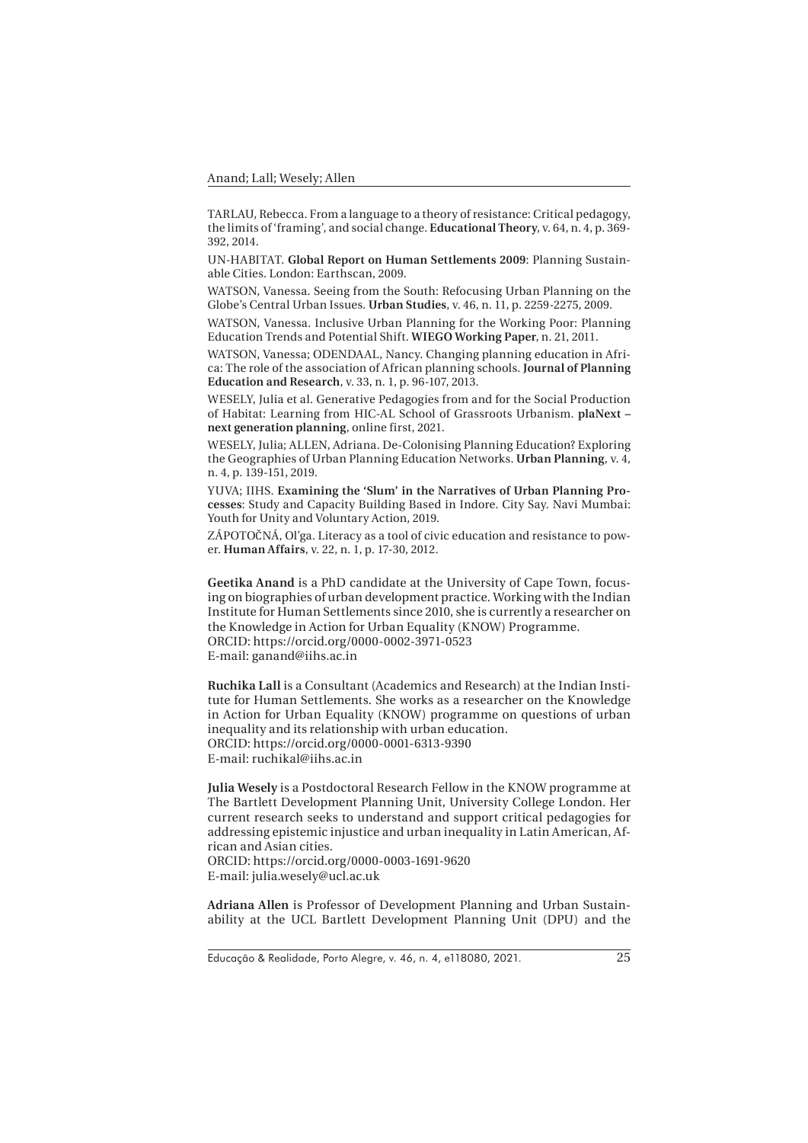TARLAU, Rebecca. From a language to a theory of resistance: Critical pedagogy, the limits of 'framing', and social change. **Educational Theory**, v. 64, n. 4, p. 369- 392, 2014.

UN-HABITAT. **Global Report on Human Settlements 2009**: Planning Sustainable Cities. London: Earthscan, 2009.

WATSON, Vanessa. Seeing from the South: Refocusing Urban Planning on the Globe's Central Urban Issues. **Urban Studies**, v. 46, n. 11, p. 2259-2275, 2009.

WATSON, Vanessa. Inclusive Urban Planning for the Working Poor: Planning Education Trends and Potential Shift. **WIEGO Working Paper**, n. 21, 2011.

WATSON, Vanessa; ODENDAAL, Nancy. Changing planning education in Africa: The role of the association of African planning schools. **Journal of Planning Education and Research**, v. 33, n. 1, p. 96-107, 2013.

WESELY, Julia et al. Generative Pedagogies from and for the Social Production of Habitat: Learning from HIC-AL School of Grassroots Urbanism. **plaNext – next generation planning**, online first, 2021.

WESELY, Julia; ALLEN, Adriana. De-Colonising Planning Education? Exploring the Geographies of Urban Planning Education Networks. **Urban Planning**, v. 4, n. 4, p. 139-151, 2019.

YUVA; IIHS. **Examining the 'Slum' in the Narratives of Urban Planning Processes**: Study and Capacity Building Based in Indore. City Say. Navi Mumbai: Youth for Unity and Voluntary Action, 2019.

ZÁPOTOČNÁ, Ol'ga. Literacy as a tool of civic education and resistance to power. **Human Affairs**, v. 22, n. 1, p. 17-30, 2012.

**Geetika Anand** is a PhD candidate at the University of Cape Town, focusing on biographies of urban development practice. Working with the Indian Institute for Human Settlements since 2010, she is currently a researcher on the Knowledge in Action for Urban Equality (KNOW) Programme. ORCID: https://orcid.org/0000-0002-3971-0523 E-mail: ganand@iihs.ac.in

**Ruchika Lall** is a Consultant (Academics and Research) at the Indian Institute for Human Settlements. She works as a researcher on the Knowledge in Action for Urban Equality (KNOW) programme on questions of urban inequality and its relationship with urban education. ORCID: https://orcid.org/0000-0001-6313-9390 E-mail: ruchikal@iihs.ac.in

**Julia Wesely** is a Postdoctoral Research Fellow in the KNOW programme at The Bartlett Development Planning Unit, University College London. Her current research seeks to understand and support critical pedagogies for addressing epistemic injustice and urban inequality in Latin American, African and Asian cities.

ORCID: https://orcid.org/0000-0003-1691-9620 E-mail: julia.wesely@ucl.ac.uk

**Adriana Allen** is Professor of Development Planning and Urban Sustainability at the UCL Bartlett Development Planning Unit (DPU) and the